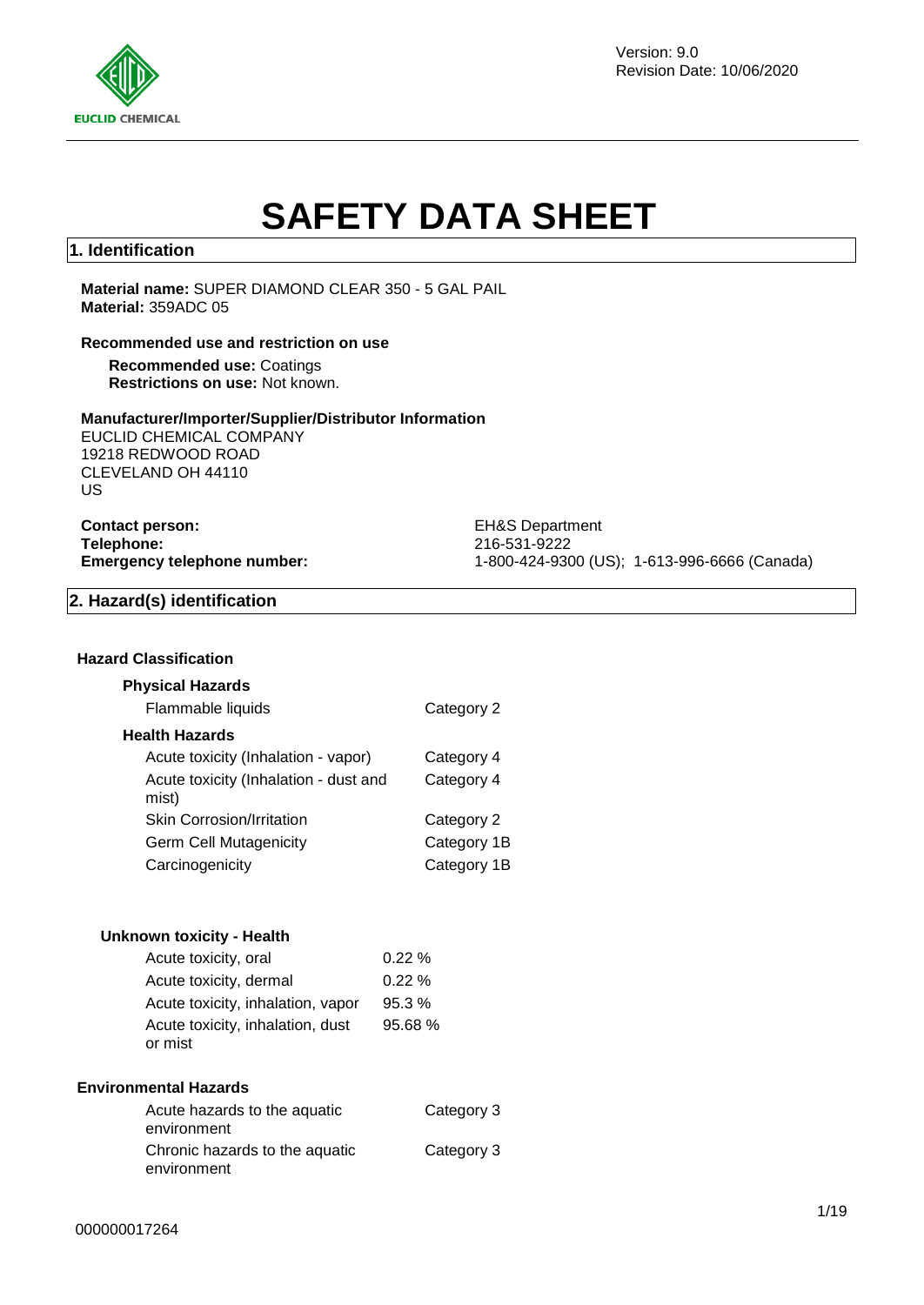

Version: 9.0 Revision Date: 10/06/2020

# **SAFETY DATA SHEET**

## **1. Identification**

**Material name:** SUPER DIAMOND CLEAR 350 - 5 GAL PAIL **Material:** 359ADC 05

#### **Recommended use and restriction on use**

**Recommended use:** Coatings **Restrictions on use:** Not known.

#### **Manufacturer/Importer/Supplier/Distributor Information**

EUCLID CHEMICAL COMPANY 19218 REDWOOD ROAD CLEVELAND OH 44110 US

**Contact person:** EH&S Department **Telephone:** 216-531-9222

**Emergency telephone number:** 1-800-424-9300 (US); 1-613-996-6666 (Canada)

### **2. Hazard(s) identification**

### **Hazard Classification**

### **Physical Hazards**

| Flammable liquids                              | Category 2  |
|------------------------------------------------|-------------|
| <b>Health Hazards</b>                          |             |
| Acute toxicity (Inhalation - vapor)            | Category 4  |
| Acute toxicity (Inhalation - dust and<br>mist) | Category 4  |
| <b>Skin Corrosion/Irritation</b>               | Category 2  |
| Germ Cell Mutagenicity                         | Category 1B |
| Carcinogenicity                                | Category 1B |

#### **Unknown toxicity - Health**

| Acute toxicity, oral              | 0.22%   |
|-----------------------------------|---------|
| Acute toxicity, dermal            | 0.22%   |
| Acute toxicity, inhalation, vapor | 95.3%   |
| Acute toxicity, inhalation, dust  | 95.68 % |
| or mist                           |         |

#### **Environmental Hazards**

| Acute hazards to the aquatic<br>environment   | Category 3 |
|-----------------------------------------------|------------|
| Chronic hazards to the aquatic<br>environment | Category 3 |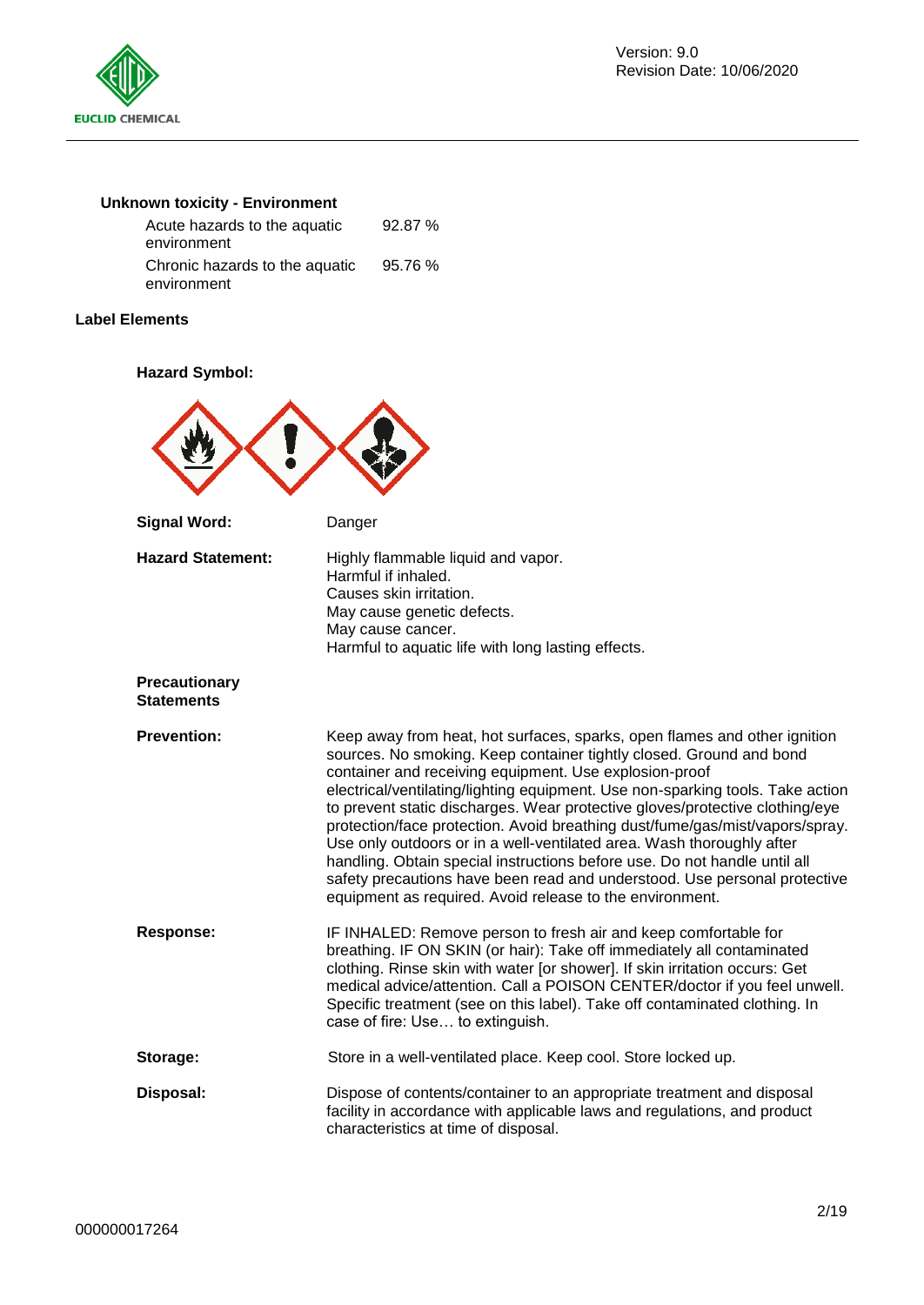

# **Unknown toxicity - Environment**

| Acute hazards to the aquatic<br>environment   | 92.87%  |
|-----------------------------------------------|---------|
| Chronic hazards to the aquatic<br>environment | 95.76 % |

### **Label Elements**

### **Hazard Symbol:**

| <b>Signal Word:</b>                | Danger                                                                                                                                                                                                                                                                                                                                                                                                                                                                                                                                                                                                                                                                                                                                                      |
|------------------------------------|-------------------------------------------------------------------------------------------------------------------------------------------------------------------------------------------------------------------------------------------------------------------------------------------------------------------------------------------------------------------------------------------------------------------------------------------------------------------------------------------------------------------------------------------------------------------------------------------------------------------------------------------------------------------------------------------------------------------------------------------------------------|
| <b>Hazard Statement:</b>           | Highly flammable liquid and vapor.<br>Harmful if inhaled.<br>Causes skin irritation.<br>May cause genetic defects.<br>May cause cancer.<br>Harmful to aquatic life with long lasting effects.                                                                                                                                                                                                                                                                                                                                                                                                                                                                                                                                                               |
| Precautionary<br><b>Statements</b> |                                                                                                                                                                                                                                                                                                                                                                                                                                                                                                                                                                                                                                                                                                                                                             |
| <b>Prevention:</b>                 | Keep away from heat, hot surfaces, sparks, open flames and other ignition<br>sources. No smoking. Keep container tightly closed. Ground and bond<br>container and receiving equipment. Use explosion-proof<br>electrical/ventilating/lighting equipment. Use non-sparking tools. Take action<br>to prevent static discharges. Wear protective gloves/protective clothing/eye<br>protection/face protection. Avoid breathing dust/fume/gas/mist/vapors/spray.<br>Use only outdoors or in a well-ventilated area. Wash thoroughly after<br>handling. Obtain special instructions before use. Do not handle until all<br>safety precautions have been read and understood. Use personal protective<br>equipment as required. Avoid release to the environment. |
| <b>Response:</b>                   | IF INHALED: Remove person to fresh air and keep comfortable for<br>breathing. IF ON SKIN (or hair): Take off immediately all contaminated<br>clothing. Rinse skin with water [or shower]. If skin irritation occurs: Get<br>medical advice/attention. Call a POISON CENTER/doctor if you feel unwell.<br>Specific treatment (see on this label). Take off contaminated clothing. In<br>case of fire: Use to extinguish.                                                                                                                                                                                                                                                                                                                                     |
| Storage:                           | Store in a well-ventilated place. Keep cool. Store locked up.                                                                                                                                                                                                                                                                                                                                                                                                                                                                                                                                                                                                                                                                                               |
| Disposal:                          | Dispose of contents/container to an appropriate treatment and disposal<br>facility in accordance with applicable laws and regulations, and product<br>characteristics at time of disposal.                                                                                                                                                                                                                                                                                                                                                                                                                                                                                                                                                                  |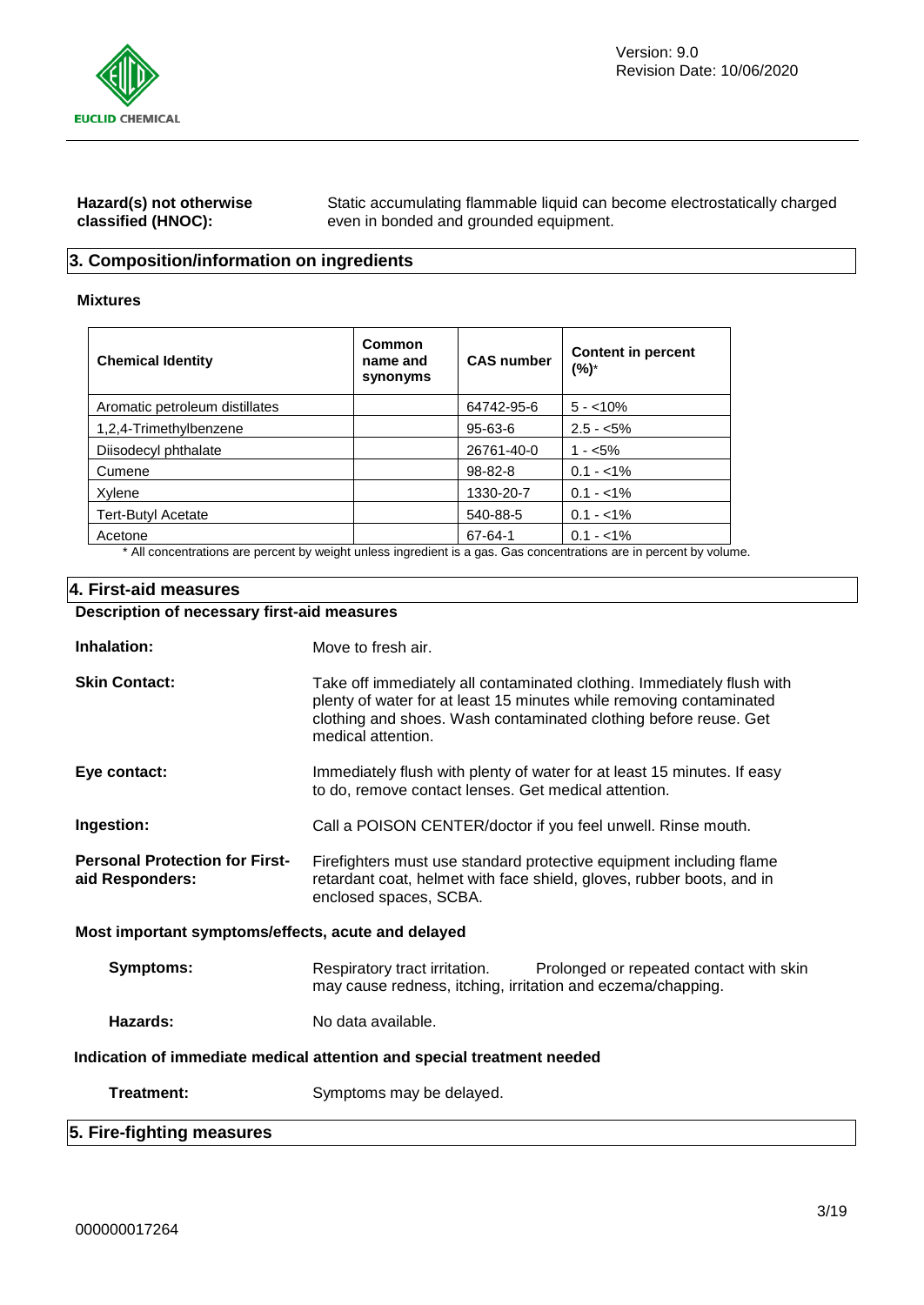

| Hazard(s) not otherwise | Static accumulating flammable liquid can become electrostatically charged |
|-------------------------|---------------------------------------------------------------------------|
| classified (HNOC):      | even in bonded and grounded equipment.                                    |

# **3. Composition/information on ingredients**

### **Mixtures**

| <b>Chemical Identity</b>                                                     | Common<br>name and<br>synonyms | <b>CAS number</b> | <b>Content in percent</b><br>(%)*          |
|------------------------------------------------------------------------------|--------------------------------|-------------------|--------------------------------------------|
| Aromatic petroleum distillates                                               |                                | 64742-95-6        | $5 - 10\%$                                 |
| 1,2,4-Trimethylbenzene                                                       |                                | $95 - 63 - 6$     | $2.5 - 5\%$                                |
| Diisodecyl phthalate                                                         |                                | 26761-40-0        | $1 - 5\%$                                  |
| Cumene                                                                       |                                | $98 - 82 - 8$     | $0.1 - 1\%$                                |
| Xylene                                                                       |                                | 1330-20-7         | $0.1 - 1\%$                                |
| <b>Tert-Butyl Acetate</b>                                                    |                                | 540-88-5          | $0.1 - 1\%$                                |
| Acetone<br>$\sim$ $\sim$ $\sim$ $\sim$<br>$\sim$ $\sim$<br>$\cdots$ $\cdots$ | .<br>$\cdots$ $\cdots$         | 67-64-1           | $0.1 - 1\%$<br>$\sim$ $\sim$ $\sim$ $\sim$ |

\* All concentrations are percent by weight unless ingredient is a gas. Gas concentrations are in percent by volume.

### **4. First-aid measures**

# **Description of necessary first-aid measures**

| Inhalation:                                                            | Move to fresh air.                                                                                                                                                                                                                      |  |  |  |
|------------------------------------------------------------------------|-----------------------------------------------------------------------------------------------------------------------------------------------------------------------------------------------------------------------------------------|--|--|--|
| <b>Skin Contact:</b>                                                   | Take off immediately all contaminated clothing. Immediately flush with<br>plenty of water for at least 15 minutes while removing contaminated<br>clothing and shoes. Wash contaminated clothing before reuse. Get<br>medical attention. |  |  |  |
| Eye contact:                                                           | Immediately flush with plenty of water for at least 15 minutes. If easy<br>to do, remove contact lenses. Get medical attention.                                                                                                         |  |  |  |
| Ingestion:                                                             | Call a POISON CENTER/doctor if you feel unwell. Rinse mouth.                                                                                                                                                                            |  |  |  |
| <b>Personal Protection for First-</b><br>aid Responders:               | Firefighters must use standard protective equipment including flame<br>retardant coat, helmet with face shield, gloves, rubber boots, and in<br>enclosed spaces, SCBA.                                                                  |  |  |  |
| Most important symptoms/effects, acute and delayed                     |                                                                                                                                                                                                                                         |  |  |  |
| <b>Symptoms:</b>                                                       | Respiratory tract irritation.<br>Prolonged or repeated contact with skin<br>may cause redness, itching, irritation and eczema/chapping.                                                                                                 |  |  |  |
| Hazards:                                                               | No data available.                                                                                                                                                                                                                      |  |  |  |
| Indication of immediate medical attention and special treatment needed |                                                                                                                                                                                                                                         |  |  |  |
| Treatment:                                                             | Symptoms may be delayed.                                                                                                                                                                                                                |  |  |  |
| 5. Fire-fighting measures                                              |                                                                                                                                                                                                                                         |  |  |  |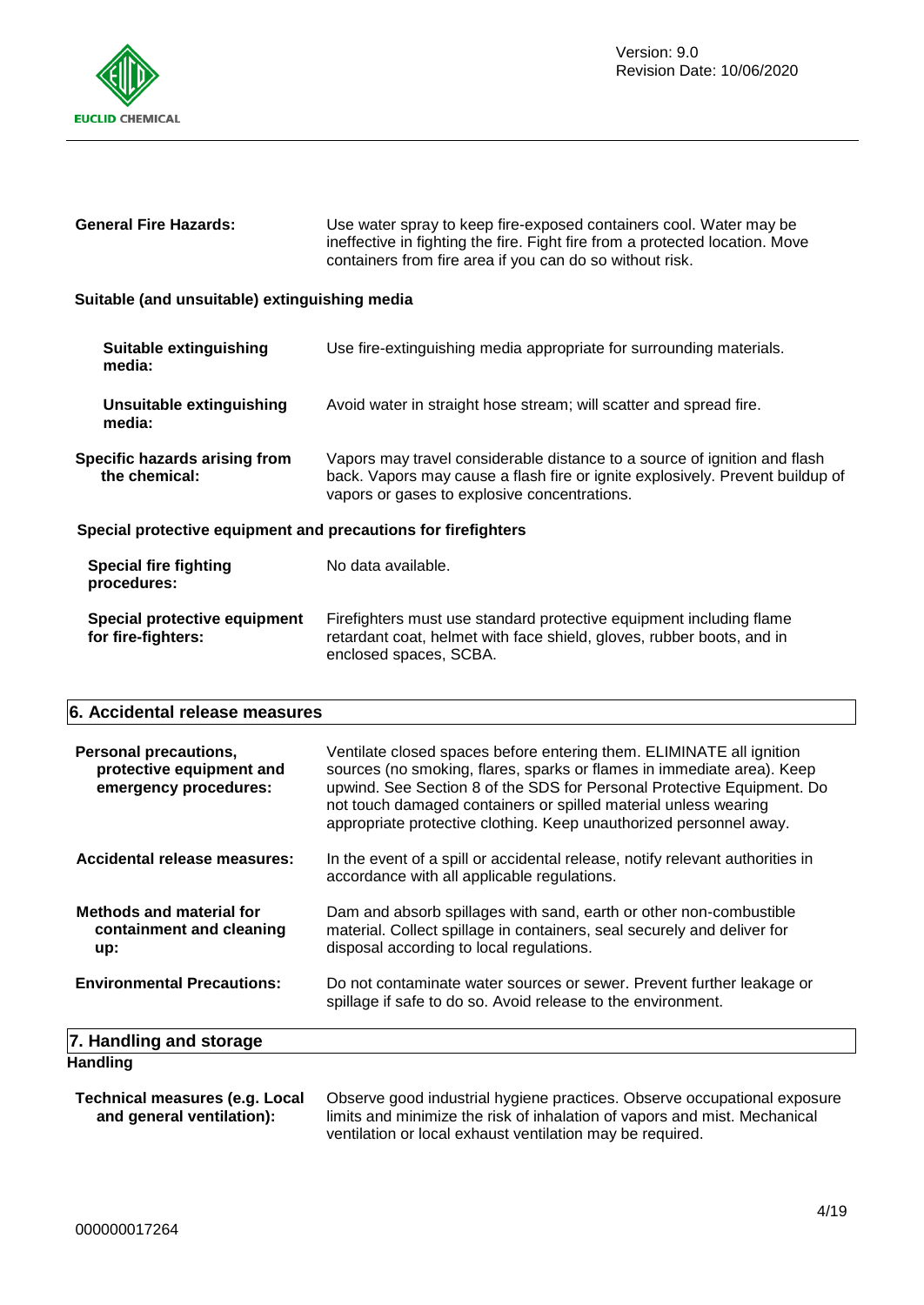

|                                                               | ineffective in fighting the fire. Fight fire from a protected location. Move<br>containers from fire area if you can do so without risk.                                                                   |  |  |
|---------------------------------------------------------------|------------------------------------------------------------------------------------------------------------------------------------------------------------------------------------------------------------|--|--|
| Suitable (and unsuitable) extinguishing media                 |                                                                                                                                                                                                            |  |  |
| Suitable extinguishing<br>media:                              | Use fire-extinguishing media appropriate for surrounding materials.                                                                                                                                        |  |  |
| Unsuitable extinguishing<br>media:                            | Avoid water in straight hose stream; will scatter and spread fire.                                                                                                                                         |  |  |
| Specific hazards arising from<br>the chemical:                | Vapors may travel considerable distance to a source of ignition and flash<br>back. Vapors may cause a flash fire or ignite explosively. Prevent buildup of<br>vapors or gases to explosive concentrations. |  |  |
| Special protective equipment and precautions for firefighters |                                                                                                                                                                                                            |  |  |
| <b>Special fire fighting</b><br>procedures:                   | No data available.                                                                                                                                                                                         |  |  |
| Special protective equipment<br>for fire-fighters:            | Firefighters must use standard protective equipment including flame<br>retardant coat, helmet with face shield, gloves, rubber boots, and in                                                               |  |  |

enclosed spaces, SCBA.

**General Fire Hazards:** Use water spray to keep fire-exposed containers cool. Water may be

### **6. Accidental release measures**

| <b>Personal precautions,</b><br>protective equipment and<br>emergency procedures: | Ventilate closed spaces before entering them. ELIMINATE all ignition<br>sources (no smoking, flares, sparks or flames in immediate area). Keep<br>upwind. See Section 8 of the SDS for Personal Protective Equipment. Do<br>not touch damaged containers or spilled material unless wearing<br>appropriate protective clothing. Keep unauthorized personnel away. |
|-----------------------------------------------------------------------------------|-------------------------------------------------------------------------------------------------------------------------------------------------------------------------------------------------------------------------------------------------------------------------------------------------------------------------------------------------------------------|
| Accidental release measures:                                                      | In the event of a spill or accidental release, notify relevant authorities in<br>accordance with all applicable regulations.                                                                                                                                                                                                                                      |
| <b>Methods and material for</b><br>containment and cleaning<br>up:                | Dam and absorb spillages with sand, earth or other non-combustible<br>material. Collect spillage in containers, seal securely and deliver for<br>disposal according to local regulations.                                                                                                                                                                         |
| <b>Environmental Precautions:</b>                                                 | Do not contaminate water sources or sewer. Prevent further leakage or<br>spillage if safe to do so. Avoid release to the environment.                                                                                                                                                                                                                             |
| 7. Handling and storage                                                           |                                                                                                                                                                                                                                                                                                                                                                   |
| <b>Handling</b>                                                                   |                                                                                                                                                                                                                                                                                                                                                                   |

**Technical measures (e.g. Local and general ventilation):** Observe good industrial hygiene practices. Observe occupational exposure limits and minimize the risk of inhalation of vapors and mist. Mechanical ventilation or local exhaust ventilation may be required.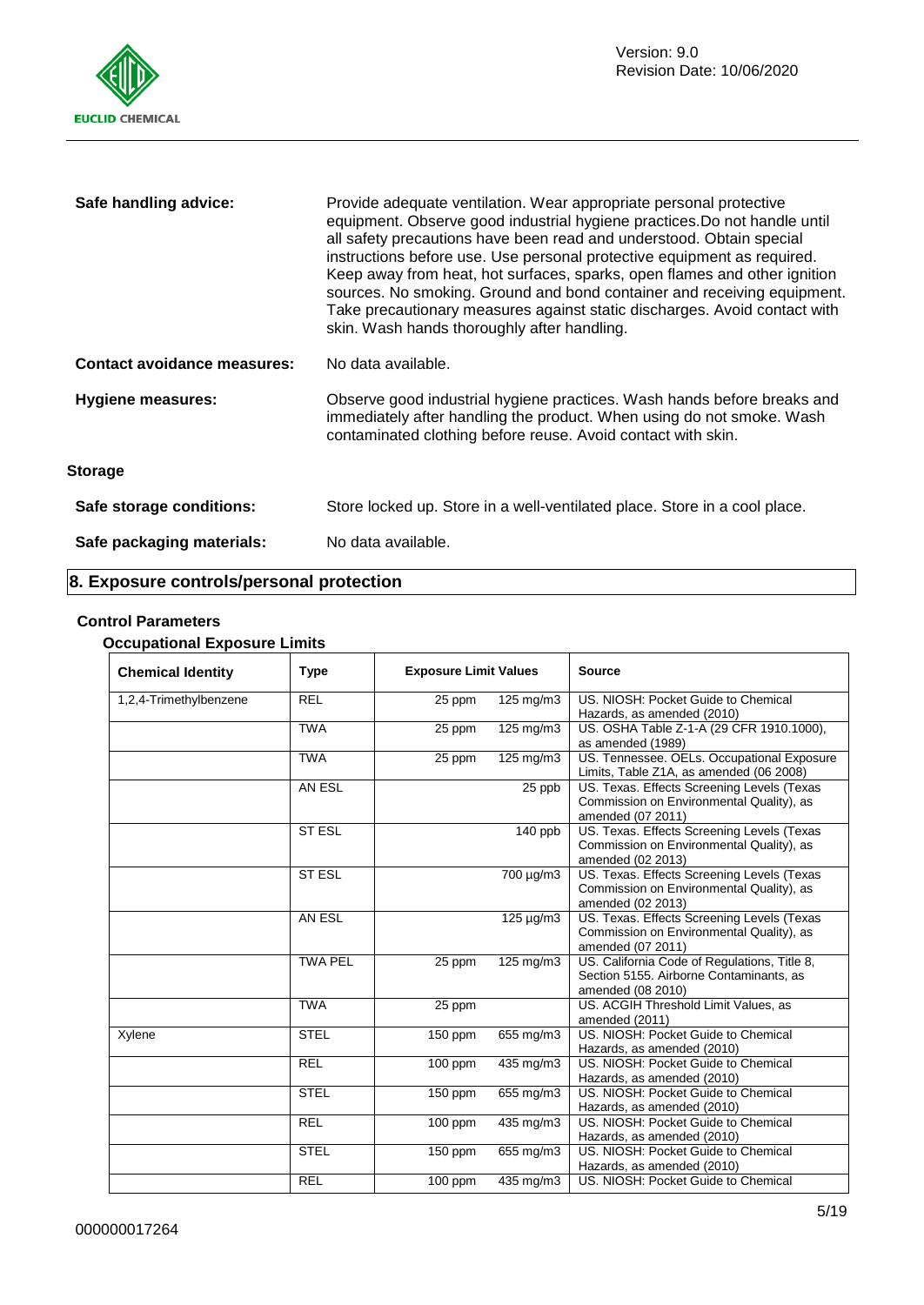

| Safe handling advice:              | Provide adequate ventilation. Wear appropriate personal protective<br>equipment. Observe good industrial hygiene practices. Do not handle until<br>all safety precautions have been read and understood. Obtain special<br>instructions before use. Use personal protective equipment as required.<br>Keep away from heat, hot surfaces, sparks, open flames and other ignition<br>sources. No smoking. Ground and bond container and receiving equipment.<br>Take precautionary measures against static discharges. Avoid contact with<br>skin. Wash hands thoroughly after handling. |  |
|------------------------------------|----------------------------------------------------------------------------------------------------------------------------------------------------------------------------------------------------------------------------------------------------------------------------------------------------------------------------------------------------------------------------------------------------------------------------------------------------------------------------------------------------------------------------------------------------------------------------------------|--|
| <b>Contact avoidance measures:</b> | No data available.                                                                                                                                                                                                                                                                                                                                                                                                                                                                                                                                                                     |  |
| <b>Hygiene measures:</b>           | Observe good industrial hygiene practices. Wash hands before breaks and<br>immediately after handling the product. When using do not smoke. Wash<br>contaminated clothing before reuse. Avoid contact with skin.                                                                                                                                                                                                                                                                                                                                                                       |  |
| <b>Storage</b>                     |                                                                                                                                                                                                                                                                                                                                                                                                                                                                                                                                                                                        |  |
| Safe storage conditions:           | Store locked up. Store in a well-ventilated place. Store in a cool place.                                                                                                                                                                                                                                                                                                                                                                                                                                                                                                              |  |
| Safe packaging materials:          | No data available.                                                                                                                                                                                                                                                                                                                                                                                                                                                                                                                                                                     |  |

# **8. Exposure controls/personal protection**

# **Control Parameters**

### **Occupational Exposure Limits**

| <b>Chemical Identity</b> | <b>Type</b>    | <b>Exposure Limit Values</b> |                      | <b>Source</b>                                                                                                |
|--------------------------|----------------|------------------------------|----------------------|--------------------------------------------------------------------------------------------------------------|
| 1,2,4-Trimethylbenzene   | <b>REL</b>     | 25 ppm                       | 125 mg/m3            | US. NIOSH: Pocket Guide to Chemical<br>Hazards, as amended (2010)                                            |
|                          | <b>TWA</b>     | 25 ppm                       | $125 \text{ mg/m}$ 3 | US. OSHA Table Z-1-A (29 CFR 1910.1000),<br>as amended (1989)                                                |
|                          | <b>TWA</b>     | 25 ppm                       | $125 \text{ mg/m}$   | US. Tennessee. OELs. Occupational Exposure<br>Limits, Table Z1A, as amended (06 2008)                        |
|                          | AN ESL         |                              | 25 ppb               | US. Texas. Effects Screening Levels (Texas<br>Commission on Environmental Quality), as<br>amended (07 2011)  |
|                          | <b>ST ESL</b>  |                              | $\overline{140}$ ppb | US. Texas. Effects Screening Levels (Texas<br>Commission on Environmental Quality), as<br>amended (02 2013)  |
|                          | <b>ST ESL</b>  |                              | 700 µg/m3            | US. Texas. Effects Screening Levels (Texas<br>Commission on Environmental Quality), as<br>amended (02 2013)  |
|                          | AN ESL         |                              | 125 µg/m3            | US. Texas. Effects Screening Levels (Texas<br>Commission on Environmental Quality), as<br>amended (07 2011)  |
|                          | <b>TWA PEL</b> | 25 ppm                       | $125 \text{ mg/m}$   | US. California Code of Regulations, Title 8,<br>Section 5155. Airborne Contaminants, as<br>amended (08 2010) |
|                          | <b>TWA</b>     | 25 ppm                       |                      | US. ACGIH Threshold Limit Values, as<br>amended (2011)                                                       |
| Xylene                   | <b>STEL</b>    | 150 ppm                      | 655 mg/m3            | US. NIOSH: Pocket Guide to Chemical<br>Hazards, as amended (2010)                                            |
|                          | <b>REL</b>     | 100 ppm                      | 435 mg/m3            | US. NIOSH: Pocket Guide to Chemical<br>Hazards, as amended (2010)                                            |
|                          | <b>STEL</b>    | 150 ppm                      | 655 mg/m3            | US. NIOSH: Pocket Guide to Chemical<br>Hazards, as amended (2010)                                            |
|                          | <b>REL</b>     | $\overline{100}$ ppm         | $435$ mg/m3          | US. NIOSH: Pocket Guide to Chemical<br>Hazards, as amended (2010)                                            |
|                          | <b>STEL</b>    | $150$ ppm                    | 655 mg/m3            | US. NIOSH: Pocket Guide to Chemical<br>Hazards, as amended (2010)                                            |
|                          | <b>REL</b>     | 100 ppm                      | $435 \text{ mg/m}$ 3 | US. NIOSH: Pocket Guide to Chemical                                                                          |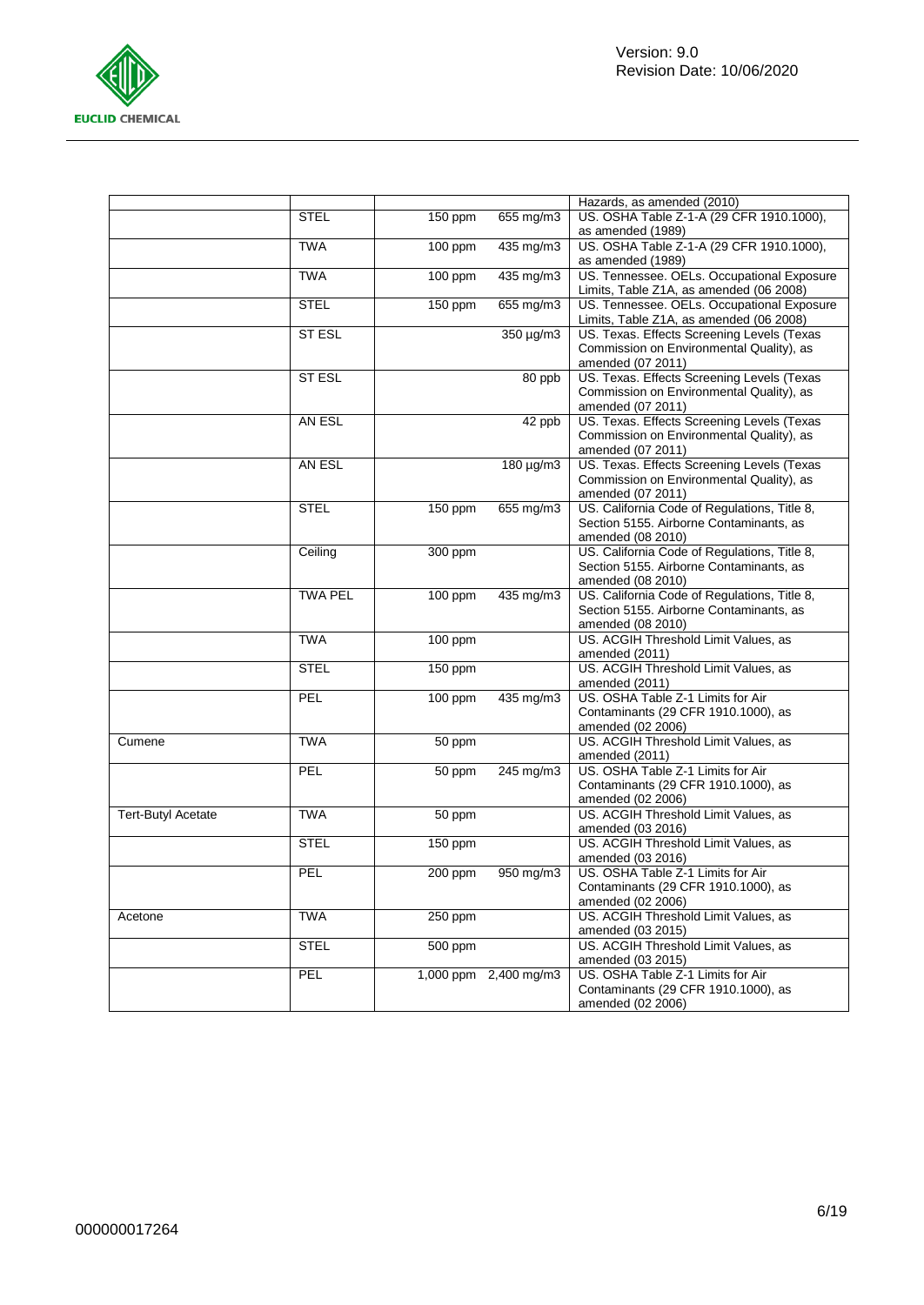

|                           |                |           |                       | Hazards, as amended (2010)                                                                                   |
|---------------------------|----------------|-----------|-----------------------|--------------------------------------------------------------------------------------------------------------|
|                           | <b>STEL</b>    | 150 ppm   | 655 mg/m3             | US. OSHA Table Z-1-A (29 CFR 1910.1000),<br>as amended (1989)                                                |
|                           | <b>TWA</b>     | 100 ppm   | 435 mg/m3             | US. OSHA Table Z-1-A (29 CFR 1910.1000),<br>as amended (1989)                                                |
|                           | <b>TWA</b>     | $100$ ppm | 435 mg/m3             | US. Tennessee. OELs. Occupational Exposure<br>Limits, Table Z1A, as amended (06 2008)                        |
|                           | <b>STEL</b>    | 150 ppm   | 655 mg/m3             | US. Tennessee. OELs. Occupational Exposure<br>Limits, Table Z1A, as amended (06 2008)                        |
|                           | ST ESL         |           | 350 µg/m3             | US. Texas. Effects Screening Levels (Texas<br>Commission on Environmental Quality), as<br>amended (07 2011)  |
|                           | ST ESL         |           | $\overline{80}$ ppb   | US. Texas. Effects Screening Levels (Texas<br>Commission on Environmental Quality), as<br>amended (07 2011)  |
|                           | AN ESL         |           | 42 ppb                | US. Texas. Effects Screening Levels (Texas<br>Commission on Environmental Quality), as<br>amended (07 2011)  |
|                           | AN ESL         |           | 180 µg/m3             | US. Texas. Effects Screening Levels (Texas<br>Commission on Environmental Quality), as<br>amended (07 2011)  |
|                           | <b>STEL</b>    | 150 ppm   | 655 mg/m3             | US. California Code of Regulations, Title 8,<br>Section 5155. Airborne Contaminants, as<br>amended (08 2010) |
|                           | Ceiling        | 300 ppm   |                       | US. California Code of Regulations, Title 8,<br>Section 5155. Airborne Contaminants, as<br>amended (08 2010) |
|                           | <b>TWA PEL</b> | 100 ppm   | 435 mg/m3             | US. California Code of Regulations, Title 8,<br>Section 5155. Airborne Contaminants, as<br>amended (08 2010) |
|                           | <b>TWA</b>     | 100 ppm   |                       | US. ACGIH Threshold Limit Values, as<br>amended (2011)                                                       |
|                           | <b>STEL</b>    | 150 ppm   |                       | US. ACGIH Threshold Limit Values, as<br>amended (2011)                                                       |
|                           | PEL            | 100 ppm   | 435 mg/m3             | US. OSHA Table Z-1 Limits for Air<br>Contaminants (29 CFR 1910.1000), as<br>amended (02 2006)                |
| Cumene                    | <b>TWA</b>     | 50 ppm    |                       | US. ACGIH Threshold Limit Values, as<br>amended (2011)                                                       |
|                           | PEL            | 50 ppm    | 245 mg/m3             | US. OSHA Table Z-1 Limits for Air<br>Contaminants (29 CFR 1910.1000), as<br>amended (02 2006)                |
| <b>Tert-Butyl Acetate</b> | <b>TWA</b>     | 50 ppm    |                       | US. ACGIH Threshold Limit Values, as<br>amended (03 2016)                                                    |
|                           | <b>STEL</b>    | 150 ppm   |                       | US. ACGIH Threshold Limit Values, as<br>amended (03 2016)                                                    |
|                           | PEL            | $200$ ppm | 950 mg/m3             | US. OSHA Table Z-1 Limits for Air<br>Contaminants (29 CFR 1910.1000), as<br>amended (02 2006)                |
| Acetone                   | <b>TWA</b>     | 250 ppm   |                       | US. ACGIH Threshold Limit Values, as<br>amended (03 2015)                                                    |
|                           | <b>STEL</b>    | 500 ppm   |                       | US. ACGIH Threshold Limit Values, as<br>amended (03 2015)                                                    |
|                           | PEL            |           | 1,000 ppm 2,400 mg/m3 | US. OSHA Table Z-1 Limits for Air<br>Contaminants (29 CFR 1910.1000), as<br>amended (02 2006)                |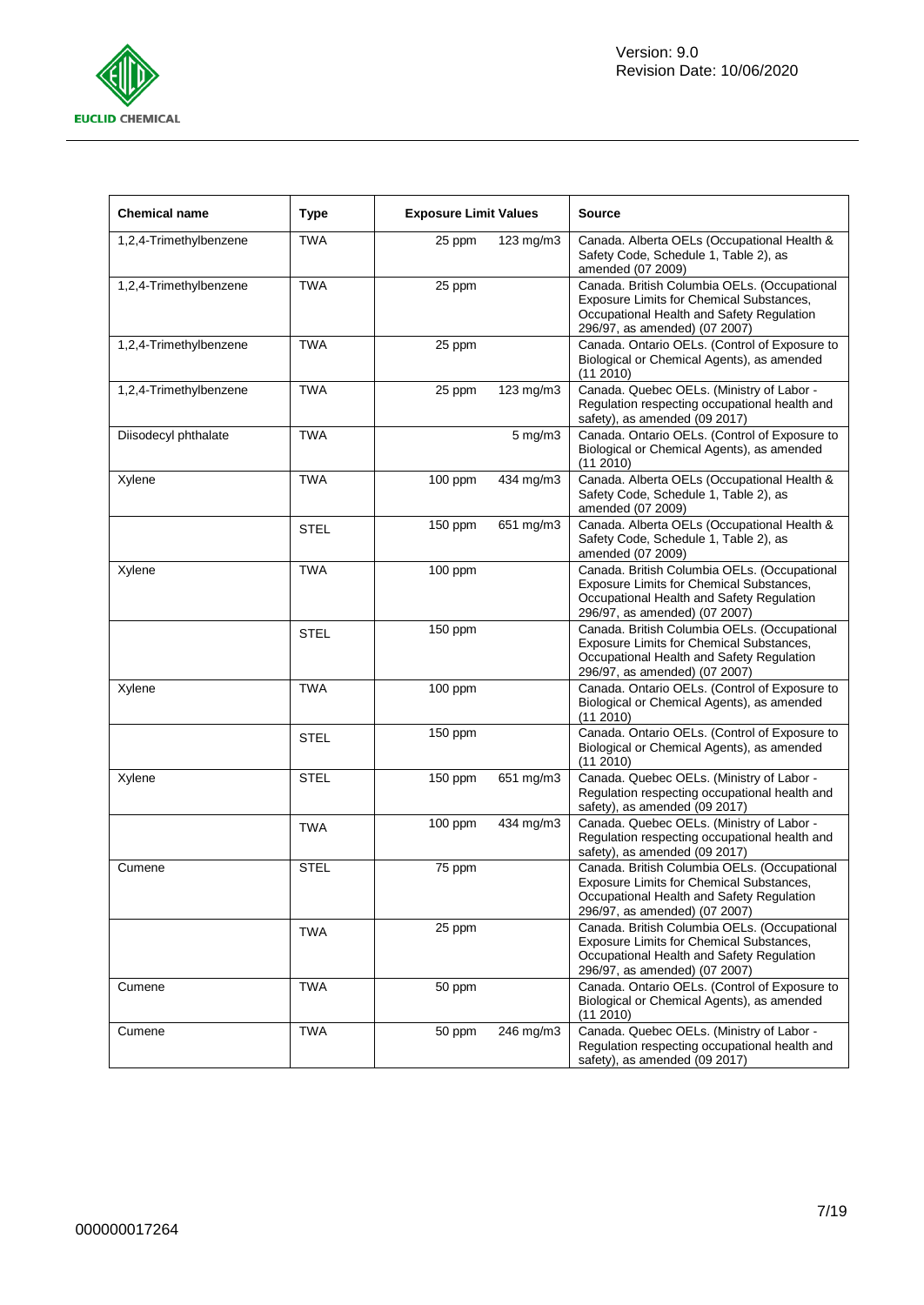

| <b>Chemical name</b>   | <b>Type</b> | <b>Exposure Limit Values</b> |                         | Source                                                                                                                                                                 |
|------------------------|-------------|------------------------------|-------------------------|------------------------------------------------------------------------------------------------------------------------------------------------------------------------|
| 1,2,4-Trimethylbenzene | TWA         | 25 ppm                       | 123 mg/m3               | Canada. Alberta OELs (Occupational Health &<br>Safety Code, Schedule 1, Table 2), as<br>amended (07 2009)                                                              |
| 1,2,4-Trimethylbenzene | <b>TWA</b>  | 25 ppm                       |                         | Canada. British Columbia OELs. (Occupational<br>Exposure Limits for Chemical Substances,<br>Occupational Health and Safety Regulation<br>296/97, as amended) (07 2007) |
| 1,2,4-Trimethylbenzene | <b>TWA</b>  | 25 ppm                       |                         | Canada. Ontario OELs. (Control of Exposure to<br>Biological or Chemical Agents), as amended<br>(11 2010)                                                               |
| 1,2,4-Trimethylbenzene | <b>TWA</b>  | 25 ppm                       | 123 mg/m3               | Canada. Quebec OELs. (Ministry of Labor -<br>Regulation respecting occupational health and<br>safety), as amended (09 2017)                                            |
| Diisodecyl phthalate   | <b>TWA</b>  |                              | $5 \text{ mg/m}$        | Canada. Ontario OELs. (Control of Exposure to<br>Biological or Chemical Agents), as amended<br>(11 2010)                                                               |
| Xylene                 | <b>TWA</b>  | 100 ppm                      | 434 mg/m3               | Canada. Alberta OELs (Occupational Health &<br>Safety Code, Schedule 1, Table 2), as<br>amended (07 2009)                                                              |
|                        | <b>STEL</b> | 150 ppm                      | 651 mg/m3               | Canada. Alberta OELs (Occupational Health &<br>Safety Code, Schedule 1, Table 2), as<br>amended (07 2009)                                                              |
| Xylene                 | <b>TWA</b>  | 100 ppm                      |                         | Canada. British Columbia OELs. (Occupational<br>Exposure Limits for Chemical Substances,<br>Occupational Health and Safety Regulation<br>296/97, as amended) (07 2007) |
|                        | <b>STEL</b> | 150 ppm                      |                         | Canada. British Columbia OELs. (Occupational<br>Exposure Limits for Chemical Substances,<br>Occupational Health and Safety Regulation<br>296/97, as amended) (07 2007) |
| Xylene                 | <b>TWA</b>  | $100$ ppm                    |                         | Canada. Ontario OELs. (Control of Exposure to<br>Biological or Chemical Agents), as amended<br>(112010)                                                                |
|                        | <b>STEL</b> | 150 ppm                      |                         | Canada. Ontario OELs. (Control of Exposure to<br>Biological or Chemical Agents), as amended<br>(112010)                                                                |
| Xylene                 | STEL        | 150 ppm                      | 651 mg/m3               | Canada. Quebec OELs. (Ministry of Labor -<br>Regulation respecting occupational health and<br>safety), as amended (09 2017)                                            |
|                        | <b>TWA</b>  | 100 ppm                      | 434 mg/m3               | Canada. Quebec OELs. (Ministry of Labor -<br>Regulation respecting occupational health and<br>safety), as amended (09 2017)                                            |
| Cumene                 | STEL        | 75 ppm                       |                         | Canada. British Columbia OELs. (Occupational<br>Exposure Limits for Chemical Substances,<br>Occupational Health and Safety Regulation<br>296/97, as amended) (07 2007) |
|                        | <b>TWA</b>  | 25 ppm                       |                         | Canada. British Columbia OELs. (Occupational<br>Exposure Limits for Chemical Substances,<br>Occupational Health and Safety Regulation<br>296/97, as amended) (07 2007) |
| Cumene                 | <b>TWA</b>  | 50 ppm                       |                         | Canada. Ontario OELs. (Control of Exposure to<br>Biological or Chemical Agents), as amended<br>(11 2010)                                                               |
| Cumene                 | <b>TWA</b>  | 50 ppm                       | $\overline{2}$ 46 mg/m3 | Canada. Quebec OELs. (Ministry of Labor -<br>Regulation respecting occupational health and<br>safety), as amended (09 2017)                                            |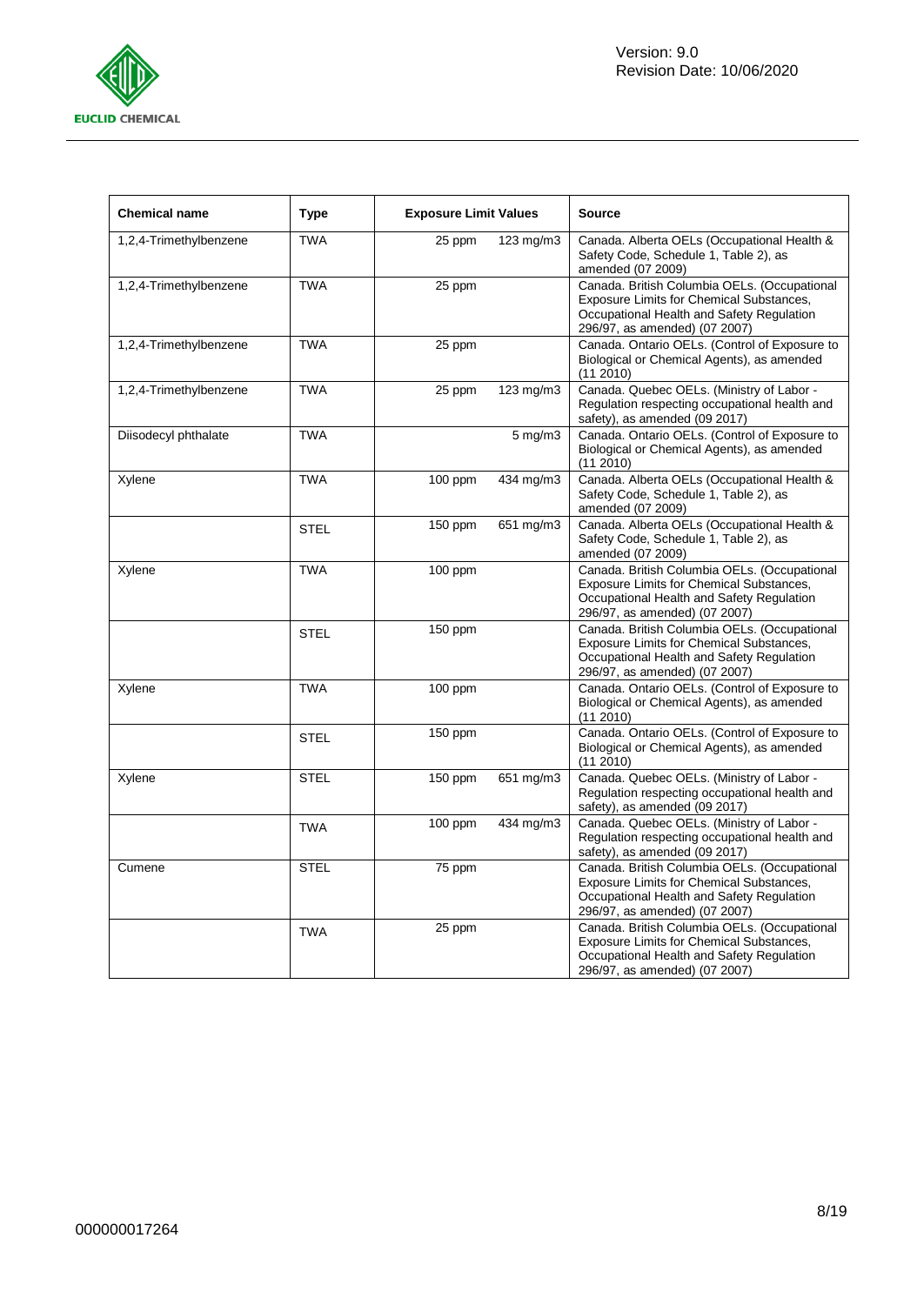

| <b>Chemical name</b>   | <b>Type</b> | <b>Exposure Limit Values</b> |                  | <b>Source</b>                                                                                                                                                          |
|------------------------|-------------|------------------------------|------------------|------------------------------------------------------------------------------------------------------------------------------------------------------------------------|
| 1,2,4-Trimethylbenzene | <b>TWA</b>  | 25 ppm                       | 123 mg/m3        | Canada. Alberta OELs (Occupational Health &<br>Safety Code, Schedule 1, Table 2), as<br>amended (07 2009)                                                              |
| 1,2,4-Trimethylbenzene | <b>TWA</b>  | 25 ppm                       |                  | Canada. British Columbia OELs. (Occupational<br>Exposure Limits for Chemical Substances,<br>Occupational Health and Safety Regulation<br>296/97, as amended) (07 2007) |
| 1,2,4-Trimethylbenzene | <b>TWA</b>  | 25 ppm                       |                  | Canada. Ontario OELs. (Control of Exposure to<br>Biological or Chemical Agents), as amended<br>(11 2010)                                                               |
| 1,2,4-Trimethylbenzene | <b>TWA</b>  | 25 ppm                       | 123 mg/m3        | Canada. Quebec OELs. (Ministry of Labor -<br>Regulation respecting occupational health and<br>safety), as amended (09 2017)                                            |
| Diisodecyl phthalate   | <b>TWA</b>  |                              | $5 \text{ mg/m}$ | Canada. Ontario OELs. (Control of Exposure to<br>Biological or Chemical Agents), as amended<br>(112010)                                                                |
| Xylene                 | <b>TWA</b>  | $100$ ppm                    | 434 mg/m3        | Canada. Alberta OELs (Occupational Health &<br>Safety Code, Schedule 1, Table 2), as<br>amended (07 2009)                                                              |
|                        | <b>STEL</b> | 150 ppm                      | 651 mg/m3        | Canada. Alberta OELs (Occupational Health &<br>Safety Code, Schedule 1, Table 2), as<br>amended (07 2009)                                                              |
| Xylene                 | <b>TWA</b>  | 100 ppm                      |                  | Canada. British Columbia OELs. (Occupational<br>Exposure Limits for Chemical Substances,<br>Occupational Health and Safety Regulation<br>296/97, as amended) (07 2007) |
|                        | <b>STEL</b> | $150$ ppm                    |                  | Canada. British Columbia OELs. (Occupational<br>Exposure Limits for Chemical Substances,<br>Occupational Health and Safety Regulation<br>296/97, as amended) (07 2007) |
| Xylene                 | <b>TWA</b>  | $100$ ppm                    |                  | Canada. Ontario OELs. (Control of Exposure to<br>Biological or Chemical Agents), as amended<br>(11 2010)                                                               |
|                        | <b>STEL</b> | 150 ppm                      |                  | Canada. Ontario OELs. (Control of Exposure to<br>Biological or Chemical Agents), as amended<br>$(11\ 2010)$                                                            |
| Xylene                 | <b>STEL</b> | 150 ppm                      | 651 mg/m3        | Canada. Quebec OELs. (Ministry of Labor -<br>Regulation respecting occupational health and<br>safety), as amended (09 2017)                                            |
|                        | <b>TWA</b>  | $100$ ppm                    | 434 mg/m3        | Canada. Quebec OELs. (Ministry of Labor -<br>Regulation respecting occupational health and<br>safety), as amended (09 2017)                                            |
| Cumene                 | <b>STEL</b> | 75 ppm                       |                  | Canada. British Columbia OELs. (Occupational<br>Exposure Limits for Chemical Substances,<br>Occupational Health and Safety Regulation<br>296/97, as amended) (07 2007) |
|                        | <b>TWA</b>  | 25 ppm                       |                  | Canada. British Columbia OELs. (Occupational<br>Exposure Limits for Chemical Substances,<br>Occupational Health and Safety Regulation<br>296/97, as amended) (07 2007) |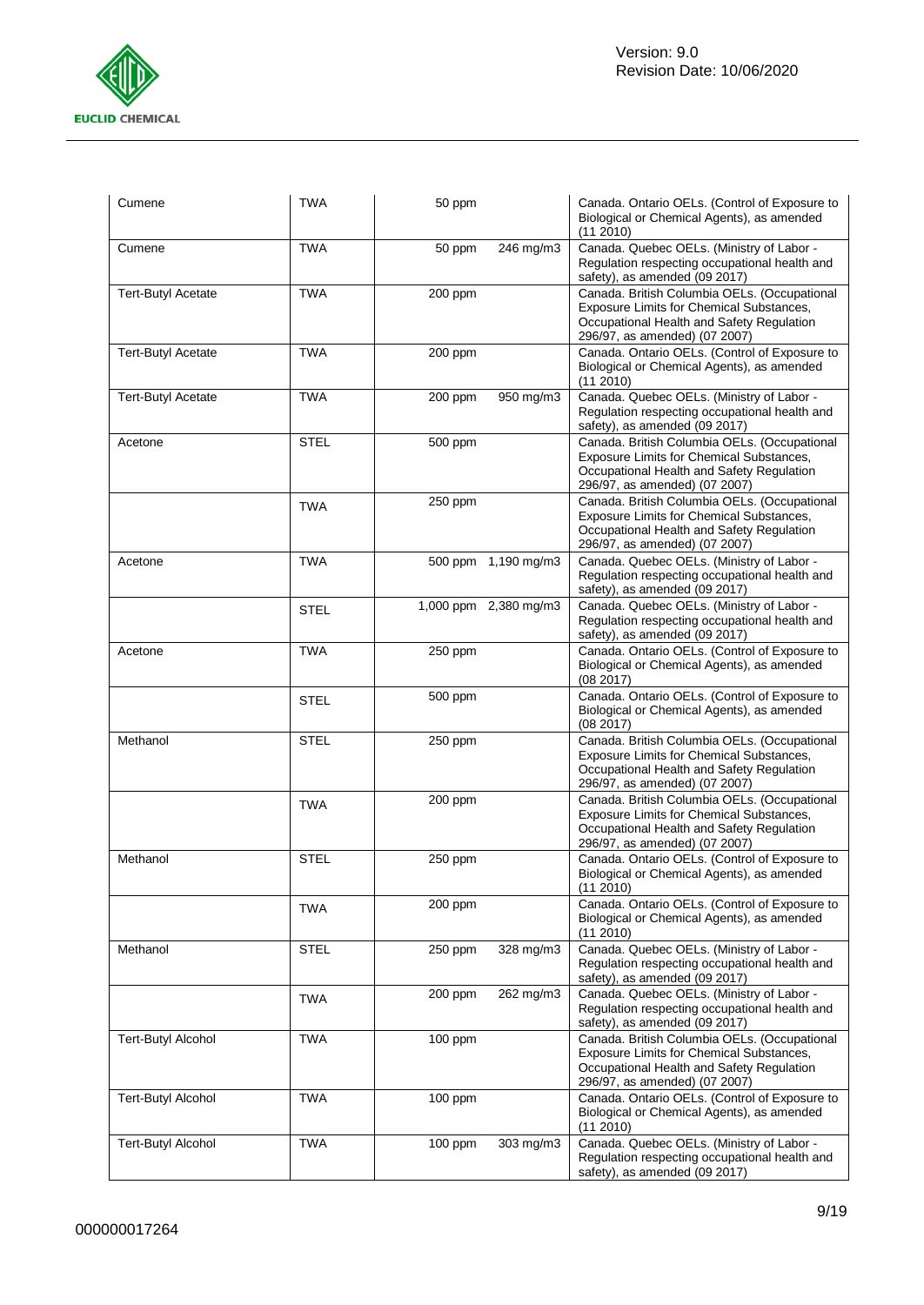

| Cumene                    | <b>TWA</b>  | 50 ppm  |                       | Canada. Ontario OELs. (Control of Exposure to<br>Biological or Chemical Agents), as amended<br>(11 2010)                                                               |
|---------------------------|-------------|---------|-----------------------|------------------------------------------------------------------------------------------------------------------------------------------------------------------------|
| Cumene                    | <b>TWA</b>  | 50 ppm  | 246 mg/m3             | Canada. Quebec OELs. (Ministry of Labor -<br>Regulation respecting occupational health and<br>safety), as amended (09 2017)                                            |
| <b>Tert-Butyl Acetate</b> | <b>TWA</b>  | 200 ppm |                       | Canada. British Columbia OELs. (Occupational<br>Exposure Limits for Chemical Substances,<br>Occupational Health and Safety Regulation<br>296/97, as amended) (07 2007) |
| <b>Tert-Butyl Acetate</b> | <b>TWA</b>  | 200 ppm |                       | Canada. Ontario OELs. (Control of Exposure to<br>Biological or Chemical Agents), as amended<br>(112010)                                                                |
| <b>Tert-Butyl Acetate</b> | <b>TWA</b>  | 200 ppm | 950 mg/m3             | Canada. Quebec OELs. (Ministry of Labor -<br>Regulation respecting occupational health and<br>safety), as amended (09 2017)                                            |
| Acetone                   | <b>STEL</b> | 500 ppm |                       | Canada. British Columbia OELs. (Occupational<br>Exposure Limits for Chemical Substances,<br>Occupational Health and Safety Regulation<br>296/97, as amended) (07 2007) |
|                           | <b>TWA</b>  | 250 ppm |                       | Canada. British Columbia OELs. (Occupational<br>Exposure Limits for Chemical Substances,<br>Occupational Health and Safety Regulation<br>296/97, as amended) (07 2007) |
| Acetone                   | <b>TWA</b>  |         | 500 ppm 1,190 mg/m3   | Canada. Quebec OELs. (Ministry of Labor -<br>Regulation respecting occupational health and<br>safety), as amended (09 2017)                                            |
|                           | <b>STEL</b> |         | 1,000 ppm 2,380 mg/m3 | Canada. Quebec OELs. (Ministry of Labor -<br>Regulation respecting occupational health and<br>safety), as amended (09 2017)                                            |
| Acetone                   | <b>TWA</b>  | 250 ppm |                       | Canada. Ontario OELs. (Control of Exposure to<br>Biological or Chemical Agents), as amended<br>(08 2017)                                                               |
|                           | <b>STEL</b> | 500 ppm |                       | Canada. Ontario OELs. (Control of Exposure to<br>Biological or Chemical Agents), as amended<br>(082017)                                                                |
| Methanol                  | <b>STEL</b> | 250 ppm |                       | Canada. British Columbia OELs. (Occupational<br>Exposure Limits for Chemical Substances,<br>Occupational Health and Safety Regulation<br>296/97, as amended) (07 2007) |
|                           | <b>TWA</b>  | 200 ppm |                       | Canada. British Columbia OELs. (Occupational<br>Exposure Limits for Chemical Substances,<br>Occupational Health and Safety Regulation<br>296/97, as amended) (07 2007) |
| Methanol                  | <b>STEL</b> | 250 ppm |                       | Canada. Ontario OELs. (Control of Exposure to<br>Biological or Chemical Agents), as amended<br>$(11\ 2010)$                                                            |
|                           | <b>TWA</b>  | 200 ppm |                       | Canada. Ontario OELs. (Control of Exposure to<br>Biological or Chemical Agents), as amended<br>(11 2010)                                                               |
| Methanol                  | <b>STEL</b> | 250 ppm | 328 mg/m3             | Canada. Quebec OELs. (Ministry of Labor -<br>Regulation respecting occupational health and<br>safety), as amended (09 2017)                                            |
|                           | TWA         | 200 ppm | 262 mg/m3             | Canada. Quebec OELs. (Ministry of Labor -<br>Regulation respecting occupational health and<br>safety), as amended (09 2017)                                            |
| <b>Tert-Butyl Alcohol</b> | <b>TWA</b>  | 100 ppm |                       | Canada. British Columbia OELs. (Occupational<br>Exposure Limits for Chemical Substances,<br>Occupational Health and Safety Regulation<br>296/97, as amended) (07 2007) |
| <b>Tert-Butyl Alcohol</b> | <b>TWA</b>  | 100 ppm |                       | Canada. Ontario OELs. (Control of Exposure to<br>Biological or Chemical Agents), as amended<br>(11 2010)                                                               |
| <b>Tert-Butyl Alcohol</b> | <b>TWA</b>  | 100 ppm | 303 mg/m3             | Canada. Quebec OELs. (Ministry of Labor -<br>Regulation respecting occupational health and<br>safety), as amended (09 2017)                                            |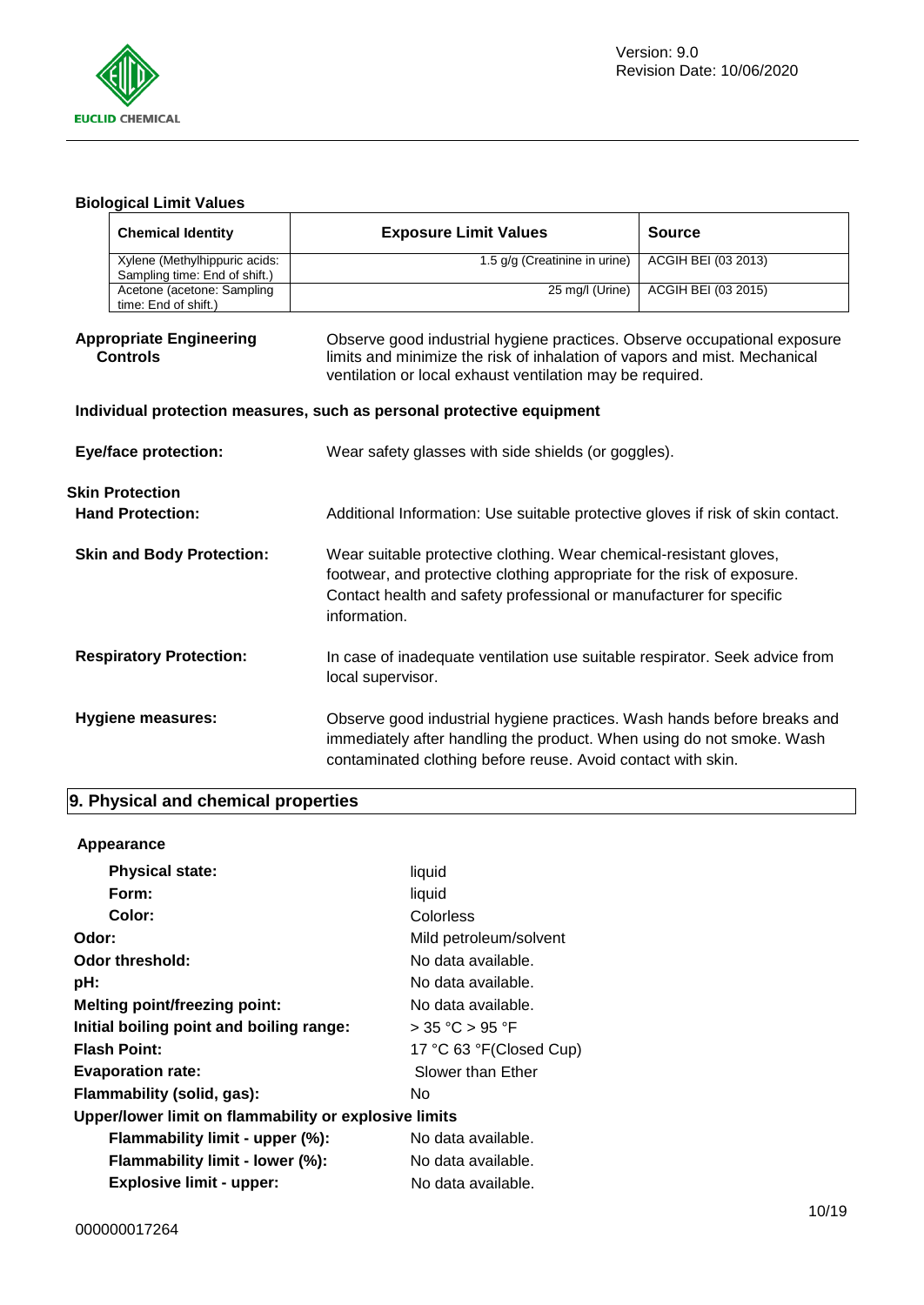

# **Biological Limit Values**

| <b>Chemical Identity</b>                          |                                                                | <b>Exposure Limit Values</b>                                                                                                                                                                                                         | <b>Source</b>              |  |  |  |
|---------------------------------------------------|----------------------------------------------------------------|--------------------------------------------------------------------------------------------------------------------------------------------------------------------------------------------------------------------------------------|----------------------------|--|--|--|
|                                                   | Xylene (Methylhippuric acids:<br>Sampling time: End of shift.) | 1.5 g/g (Creatinine in urine)                                                                                                                                                                                                        | ACGIH BEI (03 2013)        |  |  |  |
|                                                   | Acetone (acetone: Sampling<br>time: End of shift.)             | 25 mg/l (Urine)                                                                                                                                                                                                                      | <b>ACGIH BEI (03 2015)</b> |  |  |  |
| <b>Appropriate Engineering</b><br><b>Controls</b> |                                                                | Observe good industrial hygiene practices. Observe occupational exposure<br>limits and minimize the risk of inhalation of vapors and mist. Mechanical<br>ventilation or local exhaust ventilation may be required.                   |                            |  |  |  |
|                                                   |                                                                | Individual protection measures, such as personal protective equipment                                                                                                                                                                |                            |  |  |  |
| <b>Eye/face protection:</b>                       |                                                                | Wear safety glasses with side shields (or goggles).                                                                                                                                                                                  |                            |  |  |  |
|                                                   | <b>Skin Protection</b>                                         |                                                                                                                                                                                                                                      |                            |  |  |  |
| <b>Hand Protection:</b>                           |                                                                | Additional Information: Use suitable protective gloves if risk of skin contact.                                                                                                                                                      |                            |  |  |  |
| <b>Skin and Body Protection:</b>                  |                                                                | Wear suitable protective clothing. Wear chemical-resistant gloves,<br>footwear, and protective clothing appropriate for the risk of exposure.<br>Contact health and safety professional or manufacturer for specific<br>information. |                            |  |  |  |
| <b>Respiratory Protection:</b>                    |                                                                | In case of inadequate ventilation use suitable respirator. Seek advice from<br>local supervisor.                                                                                                                                     |                            |  |  |  |
| Hygiene measures:                                 |                                                                | Observe good industrial hygiene practices. Wash hands before breaks and<br>immediately after handling the product. When using do not smoke. Wash<br>contaminated clothing before reuse. Avoid contact with skin.                     |                            |  |  |  |

# **9. Physical and chemical properties**

| Appearance                                            |                         |
|-------------------------------------------------------|-------------------------|
| <b>Physical state:</b>                                | liquid                  |
| Form:                                                 | liquid                  |
| Color:                                                | Colorless               |
| Odor:                                                 | Mild petroleum/solvent  |
| Odor threshold:                                       | No data available.      |
| pH:                                                   | No data available.      |
| Melting point/freezing point:                         | No data available.      |
| Initial boiling point and boiling range:              | $>$ 35 °C $>$ 95 °F     |
| <b>Flash Point:</b>                                   | 17 °C 63 °F(Closed Cup) |
| <b>Evaporation rate:</b>                              | Slower than Ether       |
| Flammability (solid, gas):                            | No                      |
| Upper/lower limit on flammability or explosive limits |                         |
| Flammability limit - upper (%):                       | No data available.      |
| Flammability limit - lower (%):                       | No data available.      |
| <b>Explosive limit - upper:</b>                       | No data available.      |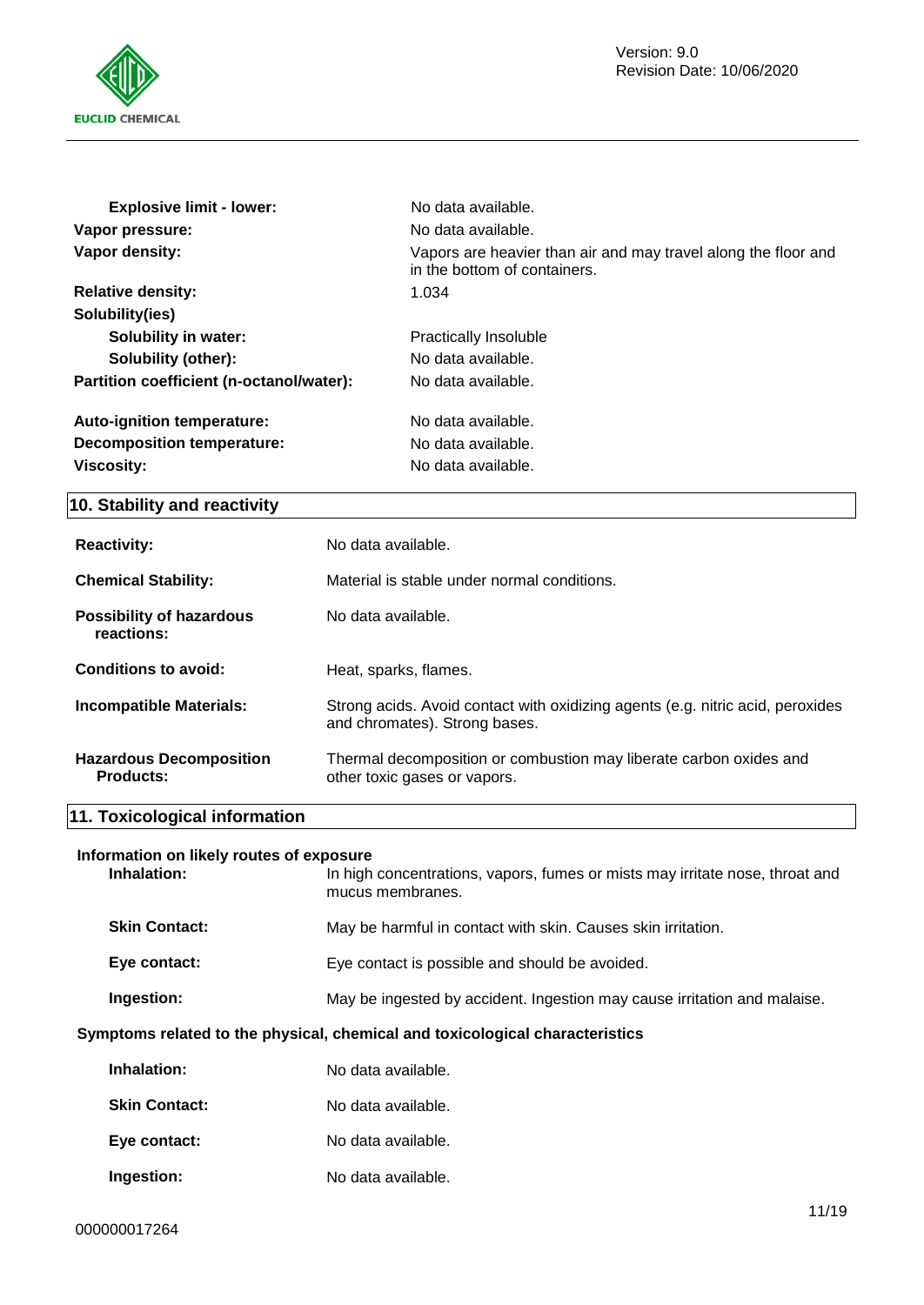

| <b>Explosive limit - lower:</b>          | No data available.                                                                             |
|------------------------------------------|------------------------------------------------------------------------------------------------|
| Vapor pressure:                          | No data available.                                                                             |
| Vapor density:                           | Vapors are heavier than air and may travel along the floor and<br>in the bottom of containers. |
| <b>Relative density:</b>                 | 1.034                                                                                          |
| Solubility(ies)                          |                                                                                                |
| <b>Solubility in water:</b>              | Practically Insoluble                                                                          |
| Solubility (other):                      | No data available.                                                                             |
| Partition coefficient (n-octanol/water): | No data available.                                                                             |
| Auto-ignition temperature:               | No data available.                                                                             |
| Decomposition temperature:               | No data available.                                                                             |
| <b>Viscosity:</b>                        | No data available.                                                                             |

# **10. Stability and reactivity**

| <b>Reactivity:</b>                                 | No data available.                                                                                              |
|----------------------------------------------------|-----------------------------------------------------------------------------------------------------------------|
| <b>Chemical Stability:</b>                         | Material is stable under normal conditions.                                                                     |
| <b>Possibility of hazardous</b><br>reactions:      | No data available.                                                                                              |
| Conditions to avoid:                               | Heat, sparks, flames.                                                                                           |
| <b>Incompatible Materials:</b>                     | Strong acids. Avoid contact with oxidizing agents (e.g. nitric acid, peroxides<br>and chromates). Strong bases. |
| <b>Hazardous Decomposition</b><br><b>Products:</b> | Thermal decomposition or combustion may liberate carbon oxides and<br>other toxic gases or vapors.              |

# **11. Toxicological information**

### **Information on likely routes of exposure**

| Inhalation:          | In high concentrations, vapors, fumes or mists may irritate nose, throat and<br>mucus membranes. |
|----------------------|--------------------------------------------------------------------------------------------------|
| <b>Skin Contact:</b> | May be harmful in contact with skin. Causes skin irritation.                                     |
| Eye contact:         | Eye contact is possible and should be avoided.                                                   |
| Ingestion:           | May be ingested by accident. Ingestion may cause irritation and malaise.                         |

### **Symptoms related to the physical, chemical and toxicological characteristics**

| Inhalation:          | No data available. |
|----------------------|--------------------|
| <b>Skin Contact:</b> | No data available. |
| Eye contact:         | No data available. |
| Ingestion:           | No data available. |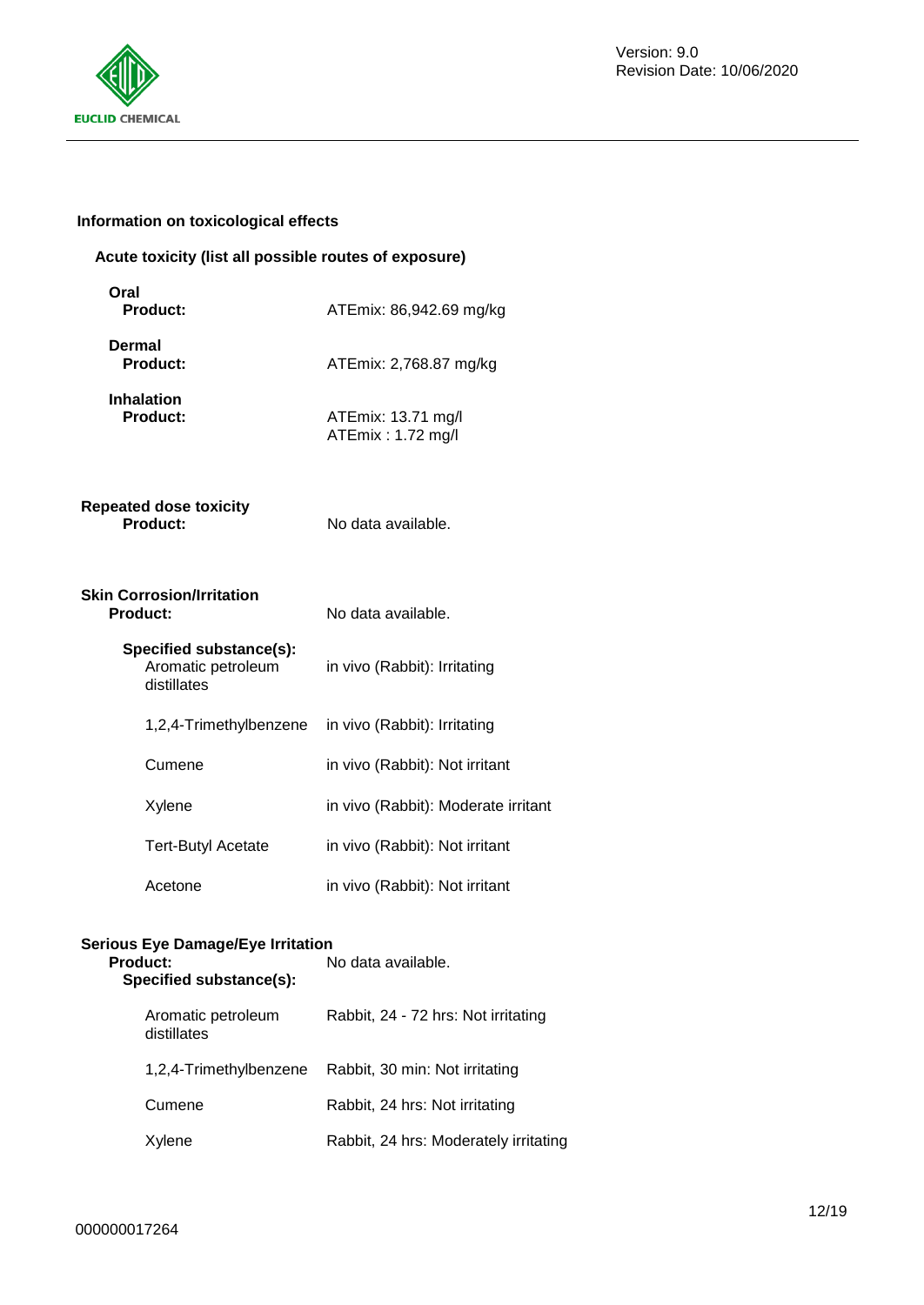

### **Information on toxicological effects**

### **Acute toxicity (list all possible routes of exposure)**

| Oral<br><b>Product:</b>                                      | ATEmix: 86,942.69 mg/kg                 |
|--------------------------------------------------------------|-----------------------------------------|
| Dermal<br><b>Product:</b>                                    | ATEmix: 2,768.87 mg/kg                  |
| <b>Inhalation</b><br><b>Product:</b>                         | ATEmix: 13.71 mg/l<br>ATEmix: 1.72 mg/l |
| <b>Repeated dose toxicity</b><br><b>Product:</b>             | No data available.                      |
| <b>Skin Corrosion/Irritation</b><br><b>Product:</b>          | No data available.                      |
| Specified substance(s):<br>Aromatic petroleum<br>distillates | in vivo (Rabbit): Irritating            |
| 1,2,4-Trimethylbenzene                                       | in vivo (Rabbit): Irritating            |
| Cumene                                                       | in vivo (Rabbit): Not irritant          |
| Xylene                                                       | in vivo (Rabbit): Moderate irritant     |
| <b>Tert-Butyl Acetate</b>                                    | in vivo (Rabbit): Not irritant          |
| Acetone                                                      | in vivo (Rabbit): Not irritant          |

# **Serious Eye Damage/Eye Irritation**

| <b>Product:</b><br>Specified substance(s): | No data available.                    |  |  |
|--------------------------------------------|---------------------------------------|--|--|
| Aromatic petroleum<br>distillates          | Rabbit, 24 - 72 hrs: Not irritating   |  |  |
| 1,2,4-Trimethylbenzene                     | Rabbit, 30 min: Not irritating        |  |  |
| Cumene                                     | Rabbit, 24 hrs: Not irritating        |  |  |
| Xylene                                     | Rabbit, 24 hrs: Moderately irritating |  |  |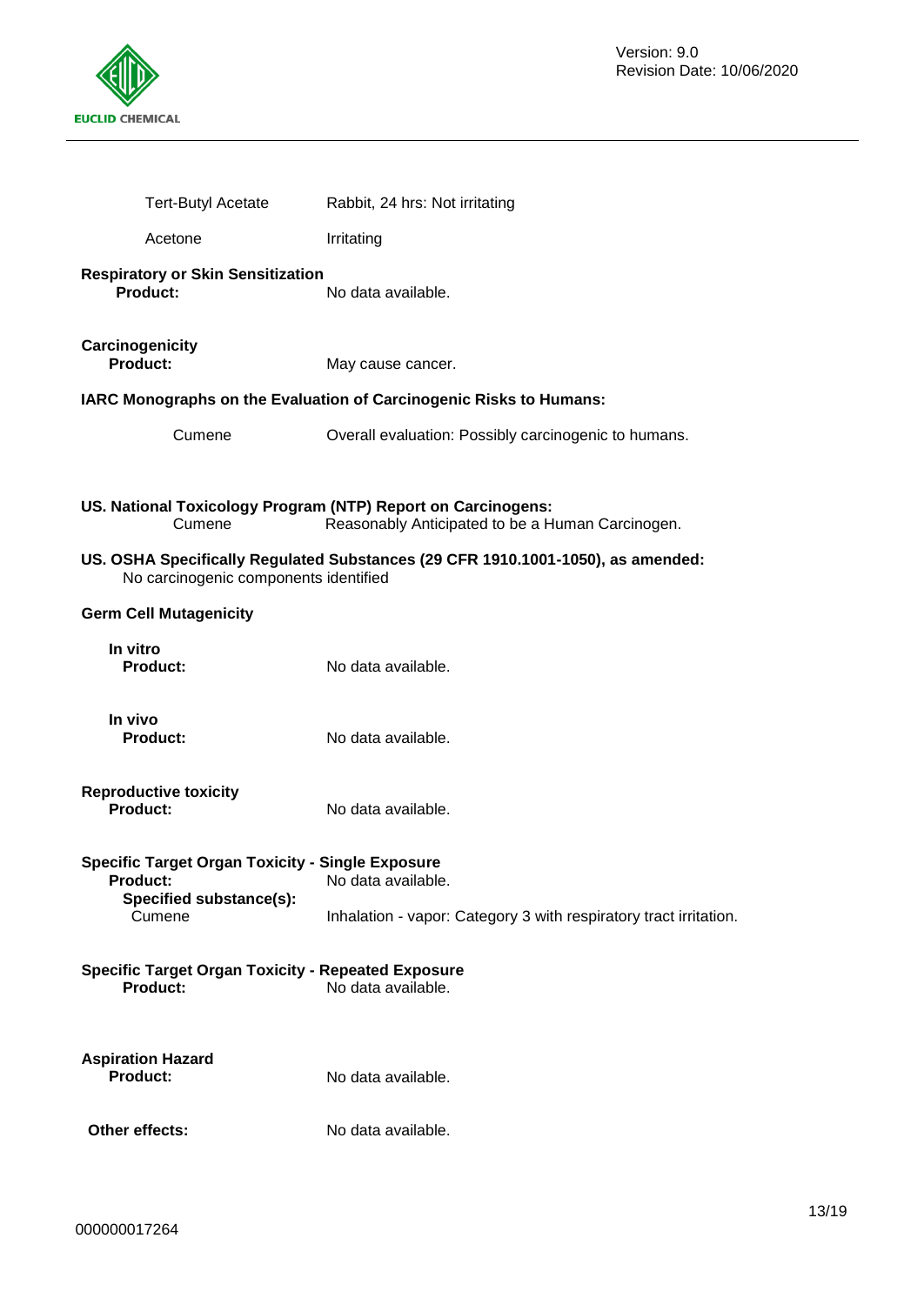

| <b>Tert-Butyl Acetate</b>                                                                                                   | Rabbit, 24 hrs: Not irritating                                                  |  |
|-----------------------------------------------------------------------------------------------------------------------------|---------------------------------------------------------------------------------|--|
| Acetone                                                                                                                     | Irritating                                                                      |  |
| <b>Respiratory or Skin Sensitization</b><br><b>Product:</b>                                                                 | No data available.                                                              |  |
| Carcinogenicity<br><b>Product:</b>                                                                                          | May cause cancer.                                                               |  |
|                                                                                                                             | IARC Monographs on the Evaluation of Carcinogenic Risks to Humans:              |  |
| Cumene                                                                                                                      | Overall evaluation: Possibly carcinogenic to humans.                            |  |
| US. National Toxicology Program (NTP) Report on Carcinogens:<br>Reasonably Anticipated to be a Human Carcinogen.<br>Cumene  |                                                                                 |  |
| No carcinogenic components identified                                                                                       | US. OSHA Specifically Regulated Substances (29 CFR 1910.1001-1050), as amended: |  |
| <b>Germ Cell Mutagenicity</b>                                                                                               |                                                                                 |  |
| In vitro<br><b>Product:</b>                                                                                                 | No data available.                                                              |  |
| In vivo<br><b>Product:</b>                                                                                                  | No data available.                                                              |  |
| <b>Reproductive toxicity</b><br><b>Product:</b>                                                                             | No data available.                                                              |  |
| <b>Specific Target Organ Toxicity - Single Exposure</b><br><b>Product:</b><br>No data available.<br>Specified substance(s): |                                                                                 |  |
| Cumene                                                                                                                      | Inhalation - vapor: Category 3 with respiratory tract irritation.               |  |
| <b>Specific Target Organ Toxicity - Repeated Exposure</b><br>No data available.<br><b>Product:</b>                          |                                                                                 |  |
| <b>Aspiration Hazard</b><br><b>Product:</b>                                                                                 | No data available.                                                              |  |
| Other effects:                                                                                                              | No data available.                                                              |  |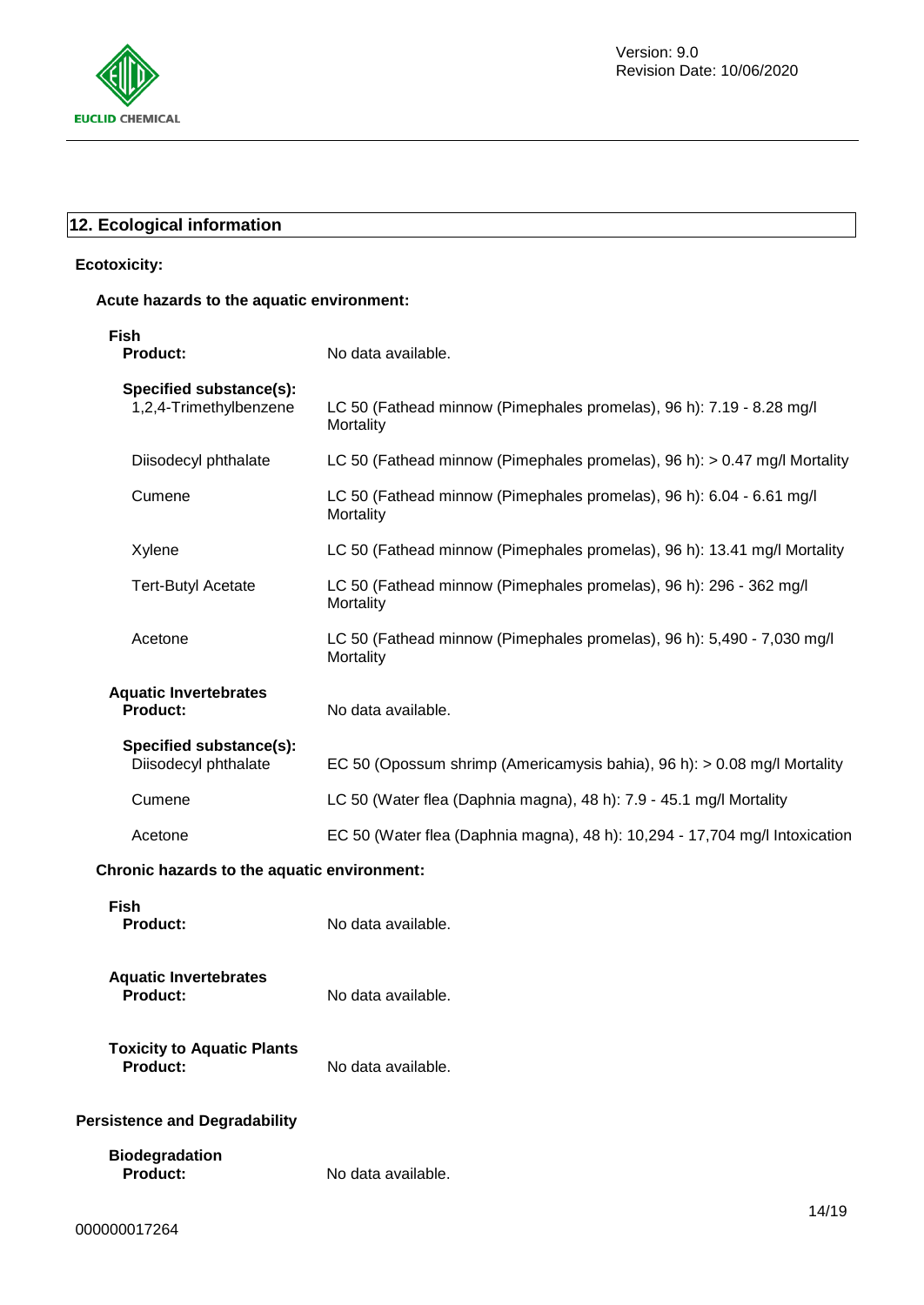

# **12. Ecological information**

### **Ecotoxicity:**

### **Acute hazards to the aquatic environment:**

| <b>Fish</b><br><b>Product:</b>                    | No data available.                                                                  |
|---------------------------------------------------|-------------------------------------------------------------------------------------|
| Specified substance(s):<br>1,2,4-Trimethylbenzene | LC 50 (Fathead minnow (Pimephales promelas), 96 h): 7.19 - 8.28 mg/l<br>Mortality   |
| Diisodecyl phthalate                              | LC 50 (Fathead minnow (Pimephales promelas), 96 h): > 0.47 mg/l Mortality           |
| Cumene                                            | LC 50 (Fathead minnow (Pimephales promelas), 96 h): 6.04 - 6.61 mg/l<br>Mortality   |
| Xylene                                            | LC 50 (Fathead minnow (Pimephales promelas), 96 h): 13.41 mg/l Mortality            |
| <b>Tert-Butyl Acetate</b>                         | LC 50 (Fathead minnow (Pimephales promelas), 96 h): 296 - 362 mg/l<br>Mortality     |
| Acetone                                           | LC 50 (Fathead minnow (Pimephales promelas), 96 h): 5,490 - 7,030 mg/l<br>Mortality |
| <b>Aquatic Invertebrates</b><br><b>Product:</b>   | No data available.                                                                  |
| Specified substance(s):<br>Diisodecyl phthalate   | EC 50 (Opossum shrimp (Americamysis bahia), 96 h): > 0.08 mg/l Mortality            |
| Cumene                                            | LC 50 (Water flea (Daphnia magna), 48 h): 7.9 - 45.1 mg/l Mortality                 |
| Acetone                                           | EC 50 (Water flea (Daphnia magna), 48 h): 10,294 - 17,704 mg/l Intoxication         |
| Chronic hazards to the aquatic environment:       |                                                                                     |
| <b>Fish</b><br><b>Product:</b>                    | No data available.                                                                  |
| <b>Aquatic Invertebrates</b><br><b>Product:</b>   | No data available.                                                                  |
| <b>Toxicity to Aquatic Plants</b><br>Product:     | No data available.                                                                  |
| <b>Persistence and Degradability</b>              |                                                                                     |

# **Biodegradation Product:** No data available.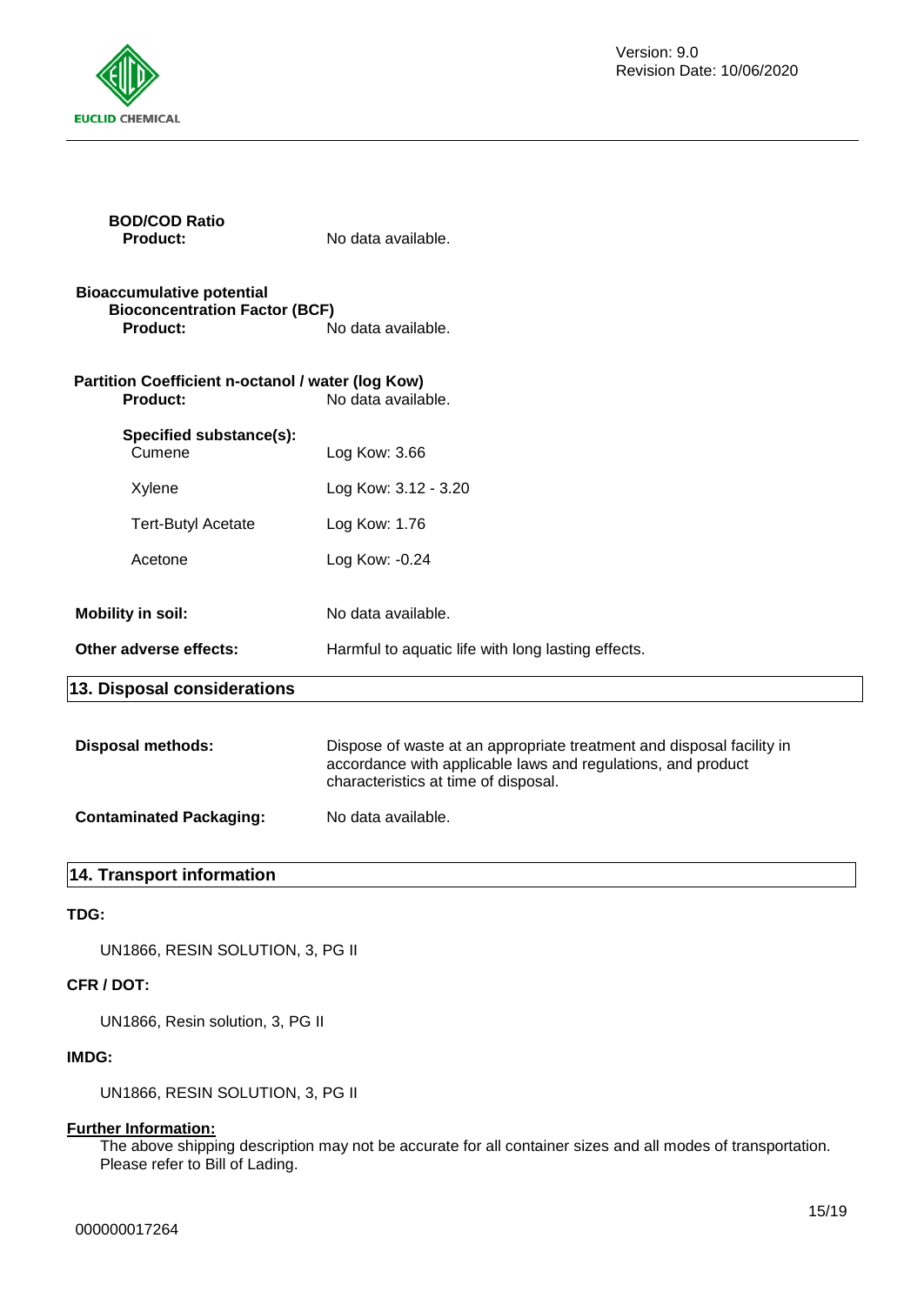

| <b>BOD/COD Ratio</b><br><b>Product:</b>                                                     | No data available.                                 |
|---------------------------------------------------------------------------------------------|----------------------------------------------------|
| <b>Bioaccumulative potential</b><br><b>Bioconcentration Factor (BCF)</b><br><b>Product:</b> | No data available.                                 |
| Partition Coefficient n-octanol / water (log Kow)<br><b>Product:</b><br>No data available.  |                                                    |
| Specified substance(s):<br>Cumene                                                           | Log Kow: 3.66                                      |
| Xylene                                                                                      | Log Kow: 3.12 - 3.20                               |
| <b>Tert-Butyl Acetate</b>                                                                   | Log Kow: 1.76                                      |
| Acetone                                                                                     | Log Kow: -0.24                                     |
| <b>Mobility in soil:</b>                                                                    | No data available.                                 |
| Other adverse effects:                                                                      | Harmful to aquatic life with long lasting effects. |
| 13. Disposal considerations                                                                 |                                                    |
|                                                                                             |                                                    |

| Disposal methods:              | Dispose of waste at an appropriate treatment and disposal facility in<br>accordance with applicable laws and regulations, and product<br>characteristics at time of disposal. |
|--------------------------------|-------------------------------------------------------------------------------------------------------------------------------------------------------------------------------|
| <b>Contaminated Packaging:</b> | No data available.                                                                                                                                                            |

# **14. Transport information**

# **TDG:**

UN1866, RESIN SOLUTION, 3, PG II

# **CFR / DOT:**

UN1866, Resin solution, 3, PG II

# **IMDG:**

UN1866, RESIN SOLUTION, 3, PG II

# **Further Information:**

The above shipping description may not be accurate for all container sizes and all modes of transportation. Please refer to Bill of Lading.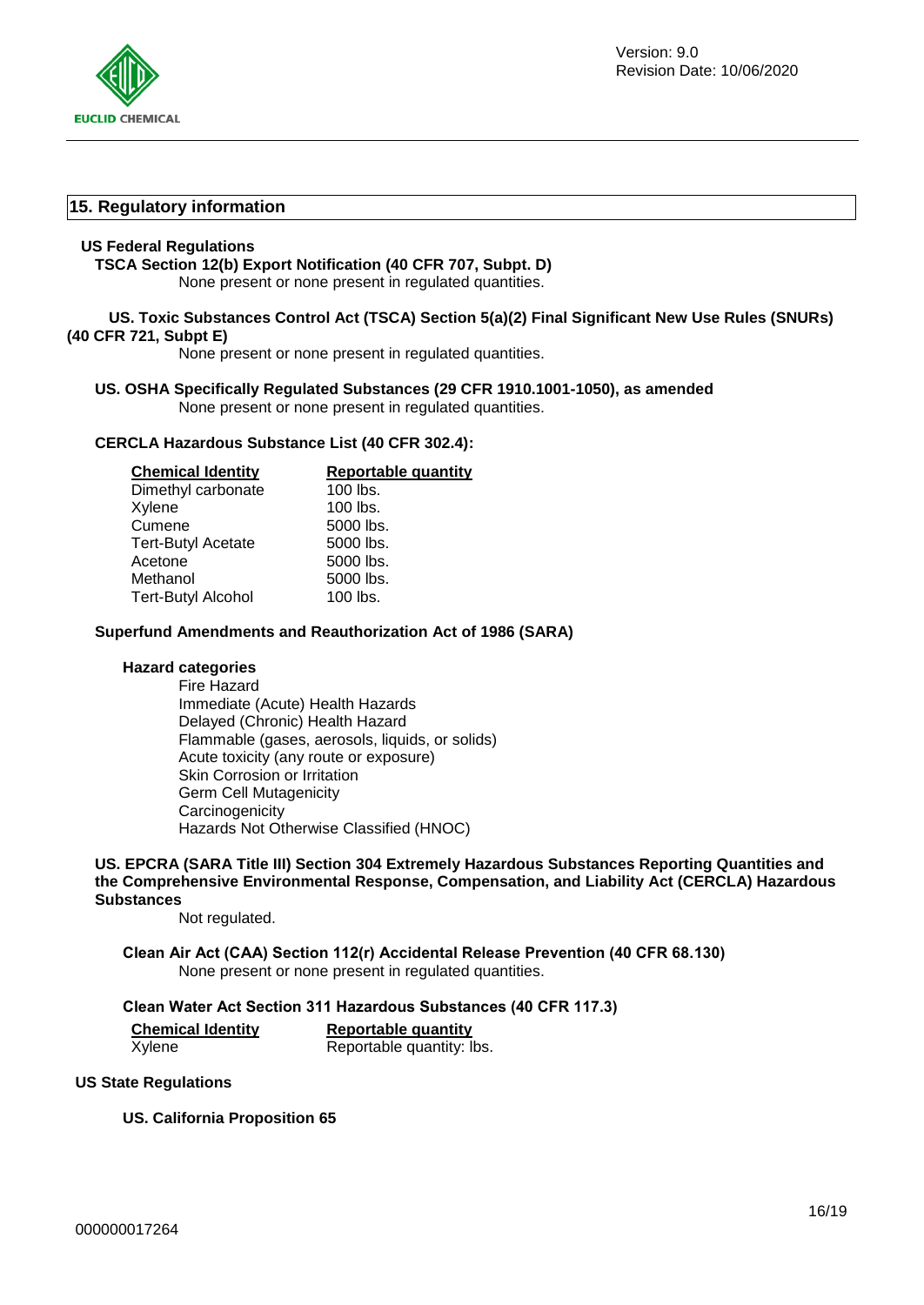

### **15. Regulatory information**

#### **US Federal Regulations**

**TSCA Section 12(b) Export Notification (40 CFR 707, Subpt. D)**

None present or none present in regulated quantities.

### **US. Toxic Substances Control Act (TSCA) Section 5(a)(2) Final Significant New Use Rules (SNURs) (40 CFR 721, Subpt E)**

None present or none present in regulated quantities.

#### **US. OSHA Specifically Regulated Substances (29 CFR 1910.1001-1050), as amended** None present or none present in regulated quantities.

### **CERCLA Hazardous Substance List (40 CFR 302.4):**

| <b>Chemical Identity</b>  | <b>Reportable quantity</b> |
|---------------------------|----------------------------|
| Dimethyl carbonate        | $100$ lbs.                 |
| Xylene                    | $100$ lbs.                 |
| Cumene                    | 5000 lbs.                  |
| <b>Tert-Butyl Acetate</b> | 5000 lbs.                  |
| Acetone                   | 5000 lbs.                  |
| Methanol                  | 5000 lbs.                  |
| <b>Tert-Butyl Alcohol</b> | $100$ lbs.                 |

### **Superfund Amendments and Reauthorization Act of 1986 (SARA)**

#### **Hazard categories**

Fire Hazard Immediate (Acute) Health Hazards Delayed (Chronic) Health Hazard Flammable (gases, aerosols, liquids, or solids) Acute toxicity (any route or exposure) Skin Corrosion or Irritation Germ Cell Mutagenicity **Carcinogenicity** Hazards Not Otherwise Classified (HNOC)

#### **US. EPCRA (SARA Title III) Section 304 Extremely Hazardous Substances Reporting Quantities and the Comprehensive Environmental Response, Compensation, and Liability Act (CERCLA) Hazardous Substances**

Not regulated.

**Clean Air Act (CAA) Section 112(r) Accidental Release Prevention (40 CFR 68.130)** None present or none present in regulated quantities.

#### **Clean Water Act Section 311 Hazardous Substances (40 CFR 117.3)**

**Chemical Identity Reportable quantity**

Xylene Reportable quantity: lbs.

### **US State Regulations**

**US. California Proposition 65**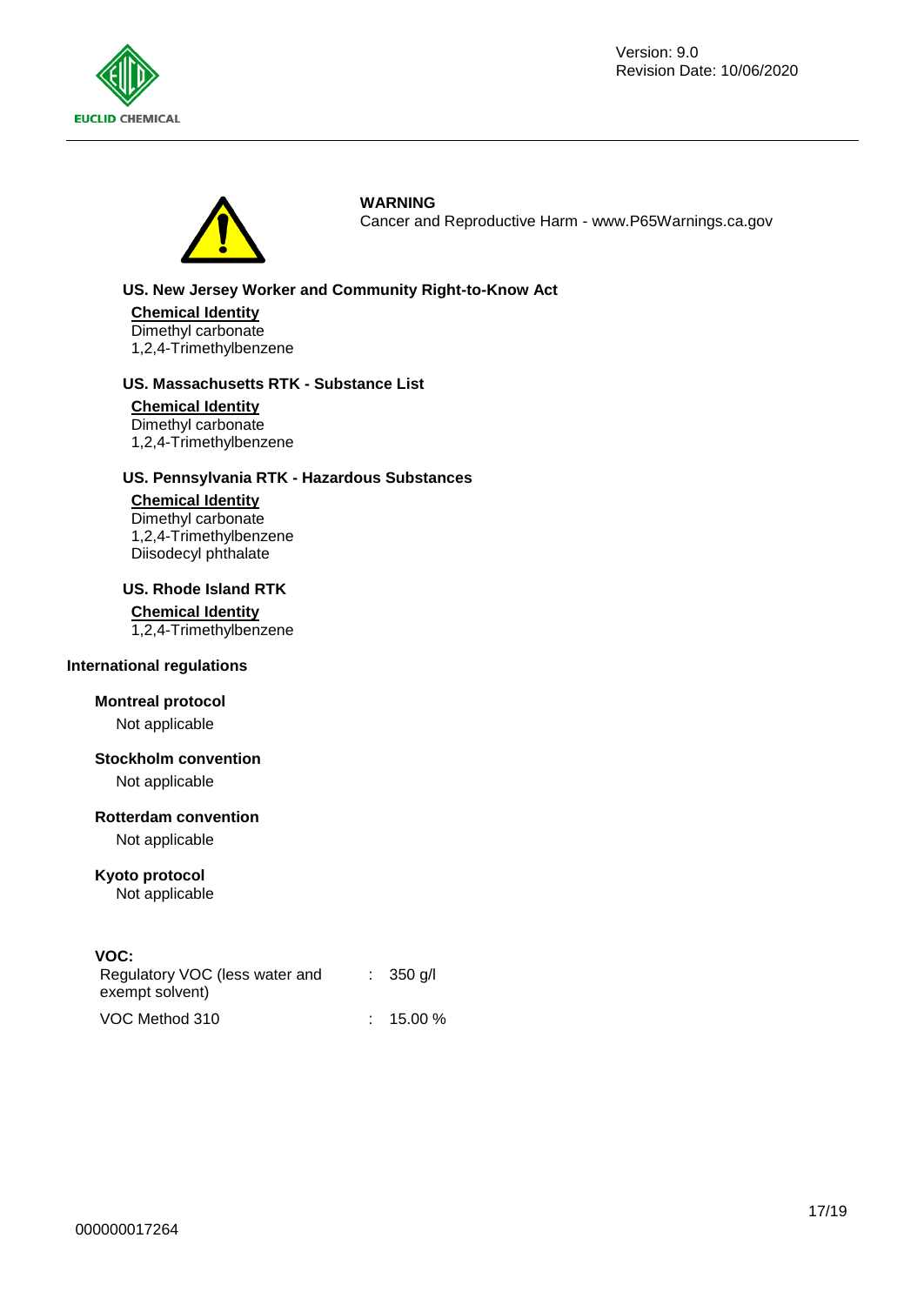



**WARNING**

Cancer and Reproductive Harm - www.P65Warnings.ca.gov

### **US. New Jersey Worker and Community Right-to-Know Act**

**Chemical Identity** Dimethyl carbonate 1,2,4-Trimethylbenzene

#### **US. Massachusetts RTK - Substance List**

**Chemical Identity** Dimethyl carbonate 1,2,4-Trimethylbenzene

### **US. Pennsylvania RTK - Hazardous Substances**

### **Chemical Identity**

Dimethyl carbonate 1,2,4-Trimethylbenzene Diisodecyl phthalate

### **US. Rhode Island RTK**

#### **Chemical Identity**

1,2,4-Trimethylbenzene

#### **International regulations**

### **Montreal protocol**

Not applicable

### **Stockholm convention**

Not applicable

#### **Rotterdam convention**

Not applicable

### **Kyoto protocol**

Not applicable

**VOC:** 

| Regulatory VOC (less water and<br>exempt solvent) | $\therefore$ 350 g/l |
|---------------------------------------------------|----------------------|
| VOC Method 310                                    | $: 15.00 \%$         |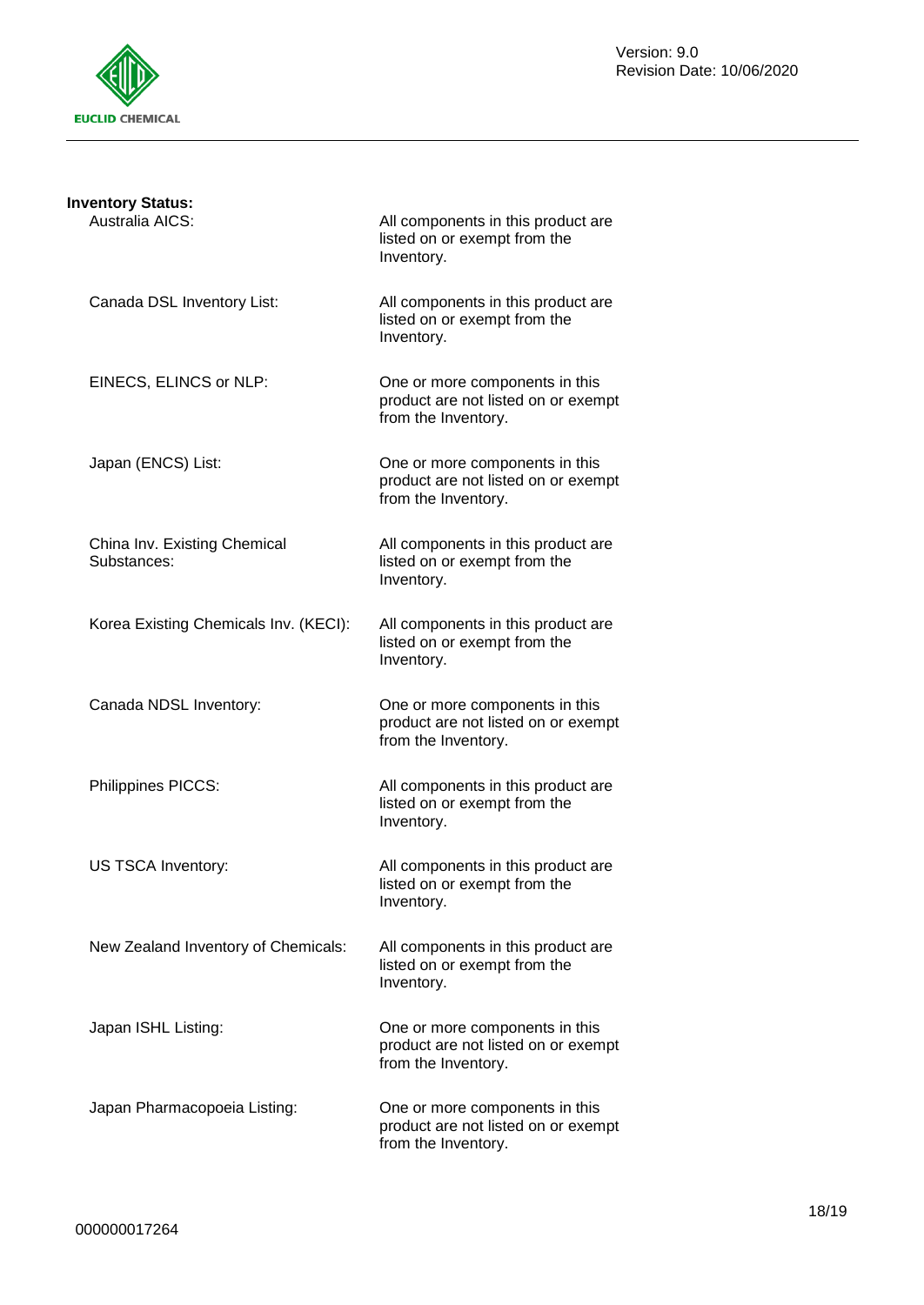

| <b>Inventory Status:</b>                    |                                                                                              |
|---------------------------------------------|----------------------------------------------------------------------------------------------|
| Australia AICS:                             | All components in this product are<br>listed on or exempt from the<br>Inventory.             |
| Canada DSL Inventory List:                  | All components in this product are<br>listed on or exempt from the<br>Inventory.             |
| EINECS, ELINCS or NLP:                      | One or more components in this<br>product are not listed on or exempt<br>from the Inventory. |
| Japan (ENCS) List:                          | One or more components in this<br>product are not listed on or exempt<br>from the Inventory. |
| China Inv. Existing Chemical<br>Substances: | All components in this product are<br>listed on or exempt from the<br>Inventory.             |
| Korea Existing Chemicals Inv. (KECI):       | All components in this product are<br>listed on or exempt from the<br>Inventory.             |
| Canada NDSL Inventory:                      | One or more components in this<br>product are not listed on or exempt<br>from the Inventory. |
| Philippines PICCS:                          | All components in this product are<br>listed on or exempt from the<br>Inventory.             |
| US TSCA Inventory:                          | All components in this product are<br>listed on or exempt from the<br>Inventory.             |
| New Zealand Inventory of Chemicals:         | All components in this product are<br>listed on or exempt from the<br>Inventory.             |
| Japan ISHL Listing:                         | One or more components in this<br>product are not listed on or exempt<br>from the Inventory. |
| Japan Pharmacopoeia Listing:                | One or more components in this<br>product are not listed on or exempt<br>from the Inventory. |